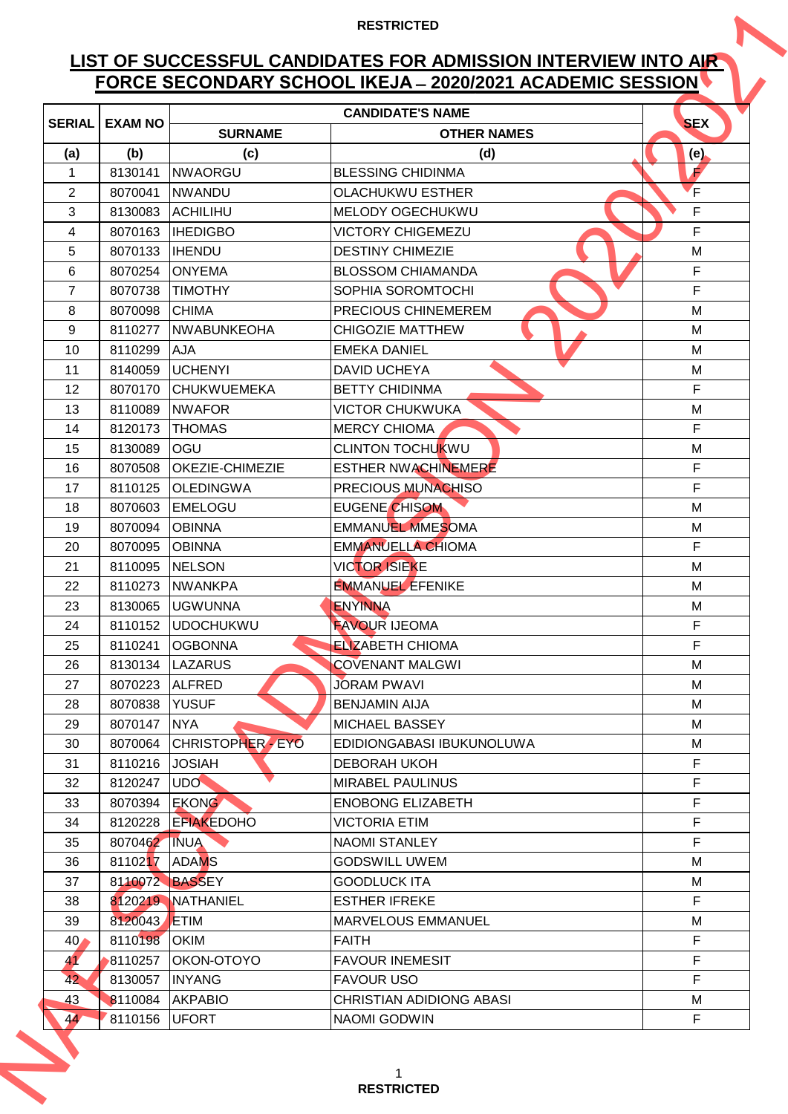# **LIST OF SUCCESSFUL CANDIDATES FOR ADMISSION INTERVIEW INTO AIR FORCE SECONDARY SCHOOL IKEJA ̶2020/2021 ACADEMIC SESSION**

|                 |                |                        | <b>CANDIDATE'S NAME</b>         |             |
|-----------------|----------------|------------------------|---------------------------------|-------------|
| <b>SERIAL</b>   | <b>EXAM NO</b> | <b>SURNAME</b>         | <b>OTHER NAMES</b>              | <b>SEX</b>  |
| (a)             | (b)            | (c)                    | (d)                             | (e),        |
| 1               | 8130141        | NWAORGU                | <b>BLESSING CHIDINMA</b>        | É           |
| $\overline{2}$  | 8070041        | <b>NWANDU</b>          | <b>OLACHUKWU ESTHER</b>         | F           |
| 3               | 8130083        | <b>ACHILIHU</b>        | <b>MELODY OGECHUKWU</b>         | F           |
| 4               | 8070163        | <b>IHEDIGBO</b>        | <b>VICTORY CHIGEMEZU</b>        | F           |
| 5               | 8070133        | <b>IHENDU</b>          | <b>DESTINY CHIMEZIE</b>         | M           |
| 6               | 8070254        | <b>IONYEMA</b>         | <b>BLOSSOM CHIAMANDA</b>        | $\mathsf F$ |
| $\overline{7}$  | 8070738        | <b>TIMOTHY</b>         | SOPHIA SOROMTOCHI               | F           |
| 8               | 8070098        | <b>CHIMA</b>           | PRECIOUS CHINEMEREM             | M           |
| 9               | 8110277        | <b>NWABUNKEOHA</b>     | <b>CHIGOZIE MATTHEW</b>         | M           |
| 10              | 8110299        | <b>AJA</b>             | <b>EMEKA DANIEL</b>             | M           |
| 11              | 8140059        | <b>UCHENYI</b>         | <b>DAVID UCHEYA</b>             | M           |
| 12              | 8070170        | ICHUKWUEMEKA           | <b>BETTY CHIDINMA</b>           | F           |
| 13              | 8110089        | <b>INWAFOR</b>         | <b>VICTOR CHUKWUKA</b>          | М           |
| 14              | 8120173        | <b>THOMAS</b>          | <b>MERCY CHIOMA</b>             | F           |
| 15              | 8130089        | OGU                    | <b>CLINTON TOCHUKWU</b>         | M           |
| 16              | 8070508        | <b>OKEZIE-CHIMEZIE</b> | <b>ESTHER NWACHINEMERE</b>      | F           |
| 17              | 8110125        | <b>OLEDINGWA</b>       | PRECIOUS MUNACHISO              | F           |
| 18              | 8070603        | <b>EMELOGU</b>         | <b>EUGENE CHISOM</b>            | M           |
| 19              | 8070094        | <b>OBINNA</b>          | <b>EMMANUEL MMESOMA</b>         | М           |
| 20              | 8070095        | <b>OBINNA</b>          | <b>EMMANUELLA CHIOMA</b>        | F           |
| 21              | 8110095        | <b>NELSON</b>          | <b>VICTOR ISIEKE</b>            | M           |
| 22              | 8110273        | <b>NWANKPA</b>         | <b>EMMANUEL EFENIKE</b>         | M           |
| 23              | 8130065        | <b>UGWUNNA</b>         | ENYINNA                         | M           |
| 24              |                | 8110152 UDOCHUKWU      | <b>FAVOUR IJEOMA</b>            | F           |
| 25              | 8110241        | <b>OGBONNA</b>         | <b>ELIZABETH CHIOMA</b>         | F           |
| 26              |                | 8130134   LAZARUS      | <b>COVENANT MALGWI</b>          | M           |
| 27              | 8070223        | <b>ALFRED</b>          | <b>JORAM PWAVI</b>              | M           |
| 28              | 8070838        | <b>YUSUF</b>           | <b>BENJAMIN AIJA</b>            | M           |
| 29              | 8070147        | <b>NYA</b>             | <b>MICHAEL BASSEY</b>           | м           |
| 30              | 8070064        | CHRISTOPHER - EYO      | EDIDIONGABASI IBUKUNOLUWA       | м           |
| 31              | 8110216        | <b>JOSIAH</b>          | <b>DEBORAH UKOH</b>             | $\mathsf F$ |
| 32              | 8120247        | <b>UDO</b>             | <b>MIRABEL PAULINUS</b>         | $\mathsf F$ |
| 33              | 8070394        | <b>EKONG</b>           | <b>ENOBONG ELIZABETH</b>        | F           |
| 34              | 8120228        | <b>EFIAKEDOHO</b>      | <b>VICTORIA ETIM</b>            | $\mathsf F$ |
| 35              | 8070462 INUA   |                        | <b>NAOMI STANLEY</b>            | F           |
| 36              | 8110217 ADAMS  |                        | <b>GODSWILL UWEM</b>            | M           |
| 37              | 8110072 BASSEY |                        | <b>GOODLUCK ITA</b>             | M           |
| 38              |                | 8120219 NATHANIEL      | <b>ESTHER IFREKE</b>            | F           |
| 39              | 8120043 ETIM   |                        | <b>MARVELOUS EMMANUEL</b>       | M           |
| 40 <sub>4</sub> | 8110198 OKIM   |                        | <b>FAITH</b>                    | F           |
| 41              | 8110257        | OKON-OTOYO             | <b>FAVOUR INEMESIT</b>          | F           |
| 42              | 8130057        | <b>INYANG</b>          | <b>FAVOUR USO</b>               | F           |
| 43              |                | 8110084 AKPABIO        | <b>CHRISTIAN ADIDIONG ABASI</b> | М           |
| 44              | 8110156        | <b>UFORT</b>           | NAOMI GODWIN                    | F           |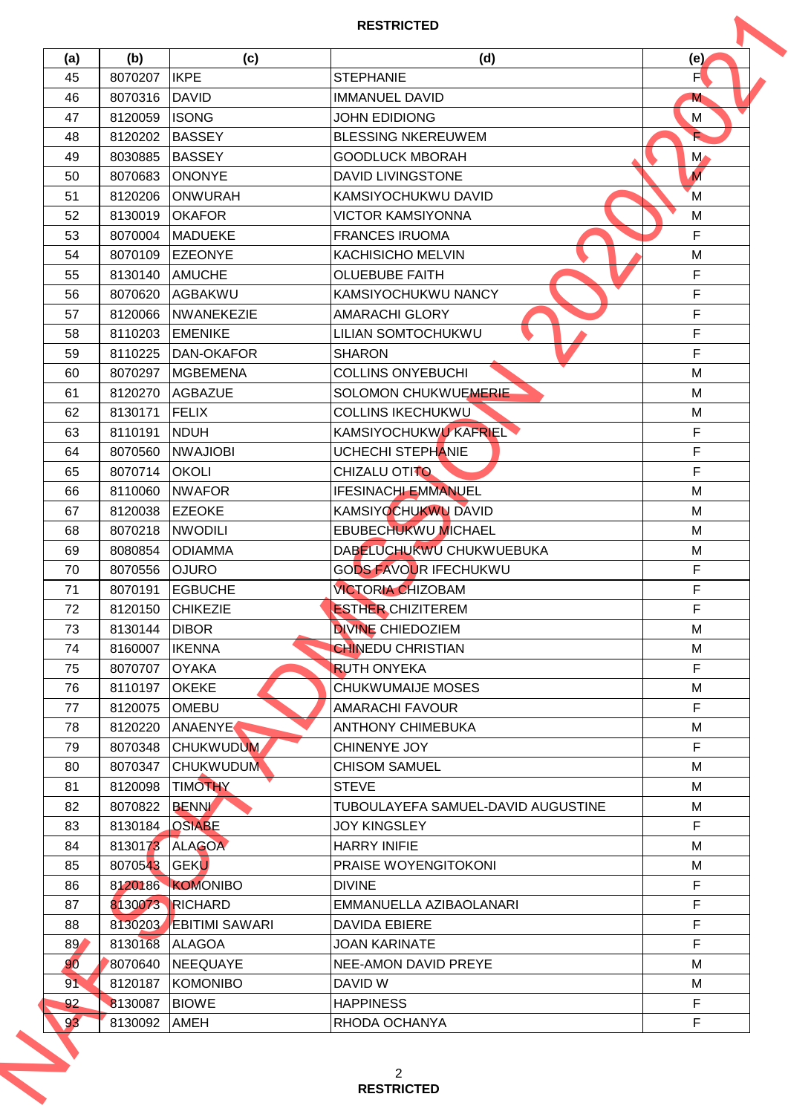| (a)<br>45 | (b)<br>8070207 | (c)<br><b>IKPE</b>     | (d)<br><b>STEPHANIE</b>            | (e)<br>F       |
|-----------|----------------|------------------------|------------------------------------|----------------|
|           |                |                        |                                    |                |
| 46        | 8070316        | <b>DAVID</b>           | <b>IMMANUEL DAVID</b>              | M              |
| 47        | 8120059        | <b>ISONG</b>           | <b>JOHN EDIDIONG</b>               | М              |
| 48        | 8120202        | <b>BASSEY</b>          | <b>BLESSING NKEREUWEM</b>          |                |
| 49        | 8030885        | <b>BASSEY</b>          | <b>GOODLUCK MBORAH</b>             | $M_{\bullet}$  |
| 50        | 8070683        | <b>ONONYE</b>          | DAVID LIVINGSTONE                  | $\overline{M}$ |
| 51        | 8120206        | ONWURAH                | KAMSIYOCHUKWU DAVID                | M              |
| 52        | 8130019        | <b>OKAFOR</b>          | <b>VICTOR KAMSIYONNA</b>           | M              |
| 53        | 8070004        | <b>MADUEKE</b>         | <b>FRANCES IRUOMA</b>              | $\mathsf F$    |
| 54        | 8070109        | <b>EZEONYE</b>         | <b>KACHISICHO MELVIN</b>           | M              |
| 55        | 8130140        | <b>AMUCHE</b>          | <b>OLUEBUBE FAITH</b>              | $\mathsf F$    |
| 56        | 8070620        | AGBAKWU                | KAMSIYOCHUKWU NANCY                | F              |
| 57        | 8120066        | NWANEKEZIE             | <b>AMARACHI GLORY</b>              | F              |
| 58        | 8110203        | <b>EMENIKE</b>         | LILIAN SOMTOCHUKWU                 | $\mathsf F$    |
| 59        | 8110225        | DAN-OKAFOR             | <b>SHARON</b>                      | $\mathsf F$    |
| 60        | 8070297        | <b>MGBEMENA</b>        | <b>COLLINS ONYEBUCHI</b>           | M              |
| 61        | 8120270        | <b>AGBAZUE</b>         | SOLOMON CHUKWUEMERIE               | M              |
| 62        | 8130171        | <b>FELIX</b>           | <b>COLLINS IKECHUKWU</b>           | M              |
| 63        | 8110191        | <b>NDUH</b>            | KAMSIYOCHUKWU KAFRIEL              | F              |
| 64        | 8070560        | <b>NWAJIOBI</b>        | <b>UCHECHI STEPHANIE</b>           | F              |
| 65        | 8070714        | <b>OKOLI</b>           | CHIZALU OTITO                      | $\mathsf F$    |
| 66        | 8110060        | <b>NWAFOR</b>          | <b>IFESINACHI EMMANUEL</b>         | M              |
| 67        | 8120038        | <b>EZEOKE</b>          | KAMSIYOCHUKWU DAVID                | M              |
| 68        | 8070218        | <b>NWODILI</b>         | <b>EBUBECHUKWU MICHAEL</b>         | M              |
| 69        | 8080854        | <b>ODIAMMA</b>         | DABELUCHUKWU CHUKWUEBUKA           | M              |
| 70        | 8070556        | <b>OJURO</b>           | <b>GODS FAVOUR IFECHUKWU</b>       | F              |
| 71        | 8070191        | <b>EGBUCHE</b>         | <b>VICTORIA CHIZOBAM</b>           | F              |
| 72        |                | 8120150 CHIKEZIE       | <b>ESTHER CHIZITEREM</b>           | $\mathsf F$    |
| 73        | 8130144        | <b>DIBOR</b>           | <b>DIVINE CHIEDOZIEM</b>           | М              |
| 74        | 8160007        | <b>IKENNA</b>          | <b>CHINEDU CHRISTIAN</b>           | M              |
| 75        | 8070707        | <b>OYAKA</b>           | <b>RUTH ONYEKA</b>                 | $\mathsf{F}$   |
| 76        | 8110197        | <b>OKEKE</b>           | <b>CHUKWUMAIJE MOSES</b>           | M              |
| 77        | 8120075        | <b>OMEBU</b>           | <b>AMARACHI FAVOUR</b>             | $\mathsf F$    |
| 78        | 8120220        | ANAENYE                | <b>ANTHONY CHIMEBUKA</b>           | M              |
| 79        | 8070348        | <b>CHUKWUDUM</b>       | CHINENYE JOY                       | $\mathsf F$    |
| 80        | 8070347        | <b>CHUKWUDUM</b>       | <b>CHISOM SAMUEL</b>               | M              |
| 81        | 8120098        | <b>TIMOTHY</b>         | <b>STEVE</b>                       | M              |
| 82        | 8070822        | <b>BENNI</b>           | TUBOULAYEFA SAMUEL-DAVID AUGUSTINE | M              |
| 83        | 8130184 OSIABE |                        | <b>JOY KINGSLEY</b>                | F              |
|           |                |                        | <b>HARRY INIFIE</b>                |                |
| 84        |                | 8130173 ALAGOA         |                                    | м              |
| 85        | 8070543 GEKU   |                        | PRAISE WOYENGITOKONI               | M              |
| 86        |                | 8120186 KOMONIBO       | <b>DIVINE</b>                      | F              |
| 87        |                | 8130073 RICHARD        | EMMANUELLA AZIBAOLANARI            | F              |
| 88        |                | 8130203 EBITIMI SAWARI | <b>DAVIDA EBIERE</b>               | F              |
| 89        | 8130168 ALAGOA |                        | <b>JOAN KARINATE</b>               | F              |
| 90        | 8070640        | NEEQUAYE               | NEE-AMON DAVID PREYE               | M              |
| 91        | 8120187        | KOMONIBO               | DAVID W                            | М              |
| 92        | 8130087        | <b>BIOWE</b>           | <b>HAPPINESS</b>                   | F              |
| 93        | 8130092        | AMEH                   | RHODA OCHANYA                      | F              |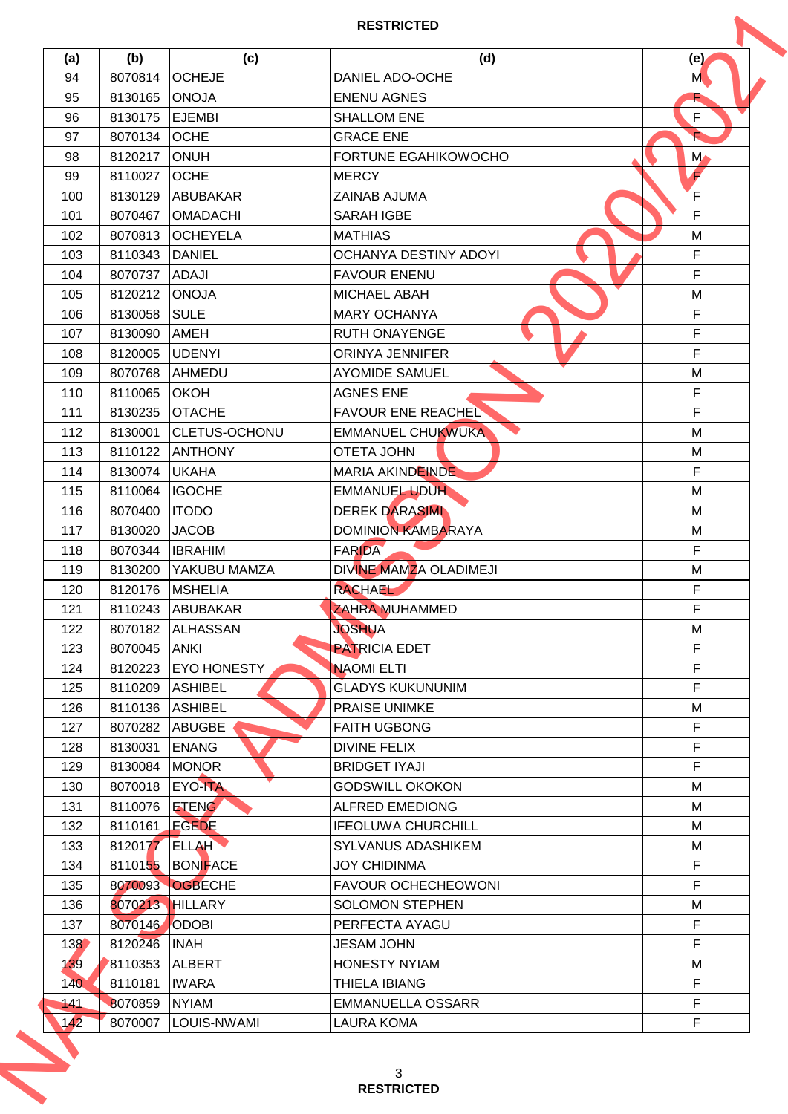|     |              |                    | <b>RESTRICTED</b>           |               |
|-----|--------------|--------------------|-----------------------------|---------------|
| (a) | (b)          | (c)                | (d)                         | (e)           |
| 94  | 8070814      | <b>OCHEJE</b>      | DANIEL ADO-OCHE             | M             |
| 95  | 8130165      | <b>ONOJA</b>       | <b>ENENU AGNES</b>          |               |
| 96  | 8130175      | <b>EJEMBI</b>      | <b>SHALLOM ENE</b>          | F             |
| 97  | 8070134      | <b>OCHE</b>        | <b>GRACE ENE</b>            |               |
| 98  | 8120217      | <b>ONUH</b>        | <b>FORTUNE EGAHIKOWOCHO</b> | $M_{\bullet}$ |
| 99  | 8110027      | <b>OCHE</b>        | <b>MERCY</b>                | F             |
| 100 | 8130129      | ABUBAKAR           | ZAINAB AJUMA                | F             |
| 101 | 8070467      | <b>OMADACHI</b>    | <b>SARAH IGBE</b>           | F             |
| 102 | 8070813      | <b>OCHEYELA</b>    | <b>MATHIAS</b>              | M             |
| 103 | 8110343      | <b>DANIEL</b>      | OCHANYA DESTINY ADOYI       | $\mathsf F$   |
| 104 | 8070737      | <b>ADAJI</b>       | <b>FAVOUR ENENU</b>         | $\mathsf F$   |
| 105 | 8120212      | <b>ONOJA</b>       | <b>MICHAEL ABAH</b>         | M             |
| 106 | 8130058      | <b>SULE</b>        | <b>MARY OCHANYA</b>         | $\mathsf F$   |
| 107 | 8130090      | AMEH               | <b>RUTH ONAYENGE</b>        | $\mathsf F$   |
| 108 | 8120005      | <b>UDENYI</b>      | <b>ORINYA JENNIFER</b>      | $\mathsf F$   |
| 109 | 8070768      | AHMEDU             | <b>AYOMIDE SAMUEL</b>       | M             |
| 110 | 8110065      | <b>OKOH</b>        | <b>AGNES ENE</b>            | F             |
| 111 | 8130235      | <b>OTACHE</b>      | <b>FAVOUR ENE REACHEL</b>   | F             |
| 112 | 8130001      | CLETUS-OCHONU      | <b>EMMANUEL CHUKWUKA</b>    | M             |
| 113 | 8110122      | <b>ANTHONY</b>     | <b>OTETA JOHN</b>           | M             |
| 114 | 8130074      | <b>UKAHA</b>       | MARIA AKINDEINDE            | $\mathsf{F}$  |
| 115 | 8110064      | <b>IGOCHE</b>      | <b>EMMANUEL UDUH</b>        | M             |
| 116 | 8070400      | <b>ITODO</b>       | <b>DEREK DARASIMI</b>       | M             |
| 117 | 8130020      | <b>JACOB</b>       | <b>DOMINION KAMBARAYA</b>   | M             |
| 118 | 8070344      | <b>IBRAHIM</b>     | <b>FARIDA</b>               | F             |
| 119 | 8130200      | YAKUBU MAMZA       | DIVINE MAMZA OLADIMEJI      | M             |
| 120 | 8120176      | <b>MSHELIA</b>     | <b>RACHAEL</b>              | F             |
| 121 |              | 8110243 ABUBAKAR   | ZAHRA MUHAMMED              | $\mathsf F$   |
| 122 |              | 8070182 ALHASSAN   | <b>JOSHUA</b>               | М             |
| 123 | 8070045 ANKI |                    | <b>PATRICIA EDET</b>        | $\mathsf{F}$  |
| 124 | 8120223      | <b>EYO HONESTY</b> | <b>NAOMI ELTI</b>           | F             |
| 125 | 8110209      | <b>ASHIBEL</b>     | <b>GLADYS KUKUNUNIM</b>     | F             |
| 126 | 8110136      | <b>ASHIBEL</b>     | <b>PRAISE UNIMKE</b>        | М             |
|     |              |                    | <b>FAITH UGBONG</b>         | $\mathsf F$   |
| 127 | 8070282      | ABUGBE             | <b>DIVINE FELIX</b>         | F             |
| 128 | 8130031      | <b>ENANG</b>       | <b>BRIDGET IYAJI</b>        | $\mathsf F$   |
| 129 | 8130084      | <b>MONOR</b>       |                             | M             |
| 130 | 8070018      | <b>EYO-ITA</b>     | <b>GODSWILL OKOKON</b>      |               |
| 131 | 8110076      | <b>ETENG</b>       | <b>ALFRED EMEDIONG</b>      | м             |
| 132 | 8110161      | <b>EGEDE</b>       | <b>IFEOLUWA CHURCHILL</b>   | M             |
| 133 | 8120177      | <b>ELLAH</b>       | <b>SYLVANUS ADASHIKEM</b>   | м             |
| 134 |              | 8110155 BONFACE    | <b>JOY CHIDINMA</b>         | $\mathsf F$   |
| 135 |              | 8070093 OGBECHE    | <b>FAVOUR OCHECHEOWONI</b>  | $\mathsf F$   |
| 136 |              | 8070213 HILLARY    | <b>SOLOMON STEPHEN</b>      | M             |
| 137 | 8070146      | <b>ODOBI</b>       | PERFECTA AYAGU              | F             |
| 138 | 8120246      | <b>INAH</b>        | <b>JESAM JOHN</b>           | F             |
| 139 | 8110353      | <b>ALBERT</b>      | <b>HONESTY NYIAM</b>        | М             |
| 140 | 8110181      | <b>IWARA</b>       | THIELA IBIANG               | F             |
| 141 | 8070859      | <b>NYIAM</b>       | <b>EMMANUELLA OSSARR</b>    | $\mathsf F$   |
| 142 | 8070007      | LOUIS-NWAMI        | <b>LAURA KOMA</b>           | F             |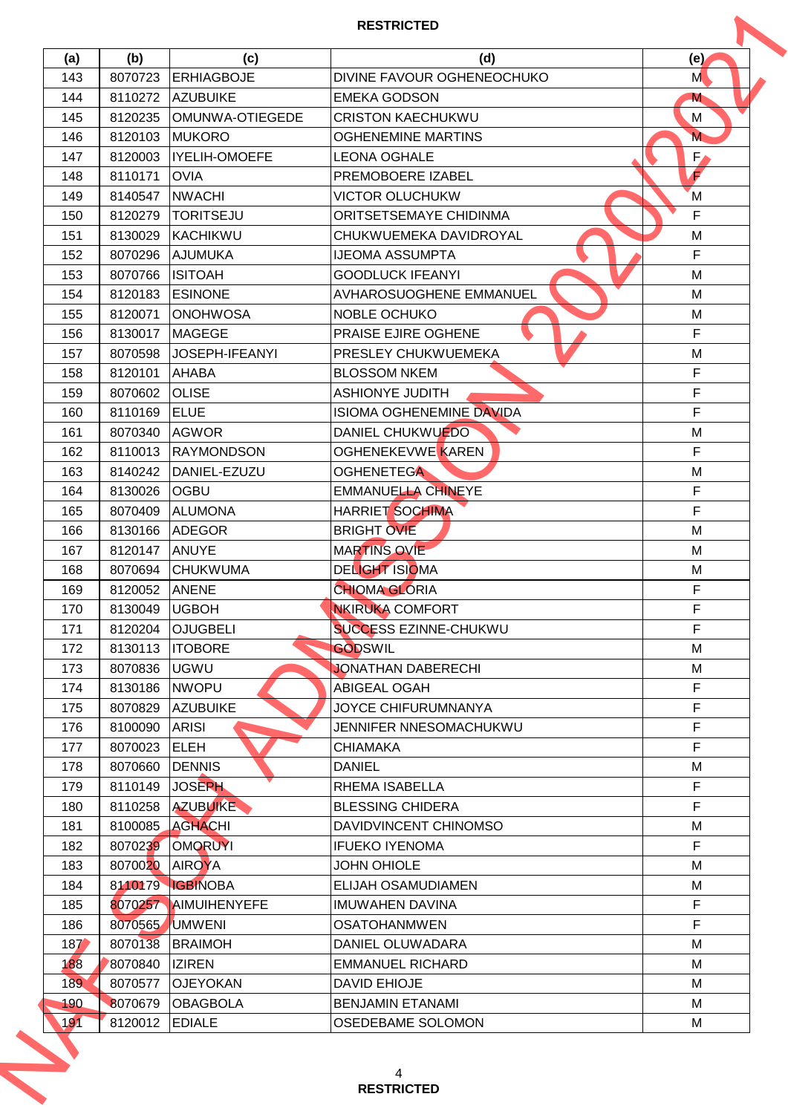| (a) | (b)            | (c)                  | (d)                             | (e)          |
|-----|----------------|----------------------|---------------------------------|--------------|
| 143 | 8070723        | <b>ERHIAGBOJE</b>    | DIVINE FAVOUR OGHENEOCHUKO      | M            |
| 144 | 8110272        | <b>AZUBUIKE</b>      | <b>EMEKA GODSON</b>             | M            |
| 145 | 8120235        | OMUNWA-OTIEGEDE      | <b>CRISTON KAECHUKWU</b>        | М            |
| 146 | 8120103        | <b>MUKORO</b>        | <b>OGHENEMINE MARTINS</b>       | M            |
| 147 | 8120003        | <b>IYELIH-OMOEFE</b> | <b>LEONA OGHALE</b>             | $F_{\ell}$   |
| 148 | 8110171        | <b>OVIA</b>          | PREMOBOERE IZABEL               | F            |
| 149 | 8140547        | <b>NWACHI</b>        | <b>VICTOR OLUCHUKW</b>          | M            |
| 150 | 8120279        | <b>TORITSEJU</b>     | ORITSETSEMAYE CHIDINMA          | $\mathsf{F}$ |
| 151 | 8130029        | KACHIKWU             | CHUKWUEMEKA DAVIDROYAL          | M            |
| 152 | 8070296        | <b>AJUMUKA</b>       | <b>IJEOMA ASSUMPTA</b>          | $\mathsf F$  |
| 153 | 8070766        | <b>ISITOAH</b>       | <b>GOODLUCK IFEANYI</b>         | M            |
| 154 | 8120183        | <b>ESINONE</b>       | AVHAROSUOGHENE EMMANUEL         | M            |
| 155 | 8120071        | <b>ONOHWOSA</b>      | NOBLE OCHUKO                    | м            |
| 156 | 8130017        | <b>MAGEGE</b>        | PRAISE EJIRE OGHENE             | $\mathsf F$  |
| 157 | 8070598        | JOSEPH-IFEANYI       | PRESLEY CHUKWUEMEKA             | M            |
| 158 | 8120101        | <b>AHABA</b>         | <b>BLOSSOM NKEM</b>             | F            |
| 159 | 8070602        | <b>OLISE</b>         | <b>ASHIONYE JUDITH</b>          | F            |
| 160 | 8110169        | <b>ELUE</b>          | <b>ISIOMA OGHENEMINE DAVIDA</b> | F            |
| 161 | 8070340        | <b>AGWOR</b>         | DANIEL CHUKWUEDO                | M            |
| 162 | 8110013        | <b>RAYMONDSON</b>    | <b>OGHENEKEVWE KAREN</b>        | F            |
| 163 | 8140242        | DANIEL-EZUZU         | <b>OGHENETEGA</b>               | M            |
| 164 | 8130026        | <b>OGBU</b>          | <b>EMMANUELLA CHINEYE</b>       | $\mathsf{F}$ |
| 165 | 8070409        | ALUMONA              | <b>HARRIET SOCHIMA</b>          | $\mathsf F$  |
| 166 | 8130166        | <b>ADEGOR</b>        | <b>BRIGHT OVIE</b>              | M            |
| 167 | 8120147        | <b>ANUYE</b>         | <b>MARTINS OVIE</b>             | M            |
| 168 | 8070694        | <b>CHUKWUMA</b>      | <b>DELIGHT ISIOMA</b>           | M            |
| 169 | 8120052        | <b>ANENE</b>         | <b>CHIOMA GLORIA</b>            | F            |
| 170 | 8130049 UGBOH  |                      | <b>NKIRUKA COMFORT</b>          | $\mathsf F$  |
| 171 | 8120204        | <b>OJUGBELI</b>      | <b>SUCCESS EZINNE-CHUKWU</b>    | F            |
| 172 | 8130113        | <b>ITOBORE</b>       | <b>GODSWIL</b>                  | M            |
| 173 | 8070836        | <b>UGWU</b>          | JONATHAN DABERECHI              | M            |
| 174 | 8130186        | <b>NWOPU</b>         | <b>ABIGEAL OGAH</b>             | F            |
| 175 | 8070829        | <b>AZUBUIKE</b>      | <b>JOYCE CHIFURUMNANYA</b>      | F            |
| 176 | 8100090        | <b>ARISI</b>         | JENNIFER NNESOMACHUKWU          | $\mathsf F$  |
| 177 | 8070023        | <b>ELEH</b>          | <b>CHIAMAKA</b>                 | F            |
| 178 | 8070660        | <b>DENNIS</b>        | <b>DANIEL</b>                   | M            |
| 179 | 8110149        | <b>JOSEPH</b>        | RHEMA ISABELLA                  | $\mathsf F$  |
| 180 | 8110258        | AZUBUIKE             | <b>BLESSING CHIDERA</b>         | $\mathsf F$  |
| 181 | 8100085        | <b>AGHACHI</b>       | DAVIDVINCENT CHINOMSO           | M            |
| 182 | 8070239        | <b>OMORUYI</b>       | <b>IFUEKO IYENOMA</b>           | F            |
| 183 | 8070020 AIROYA |                      | <b>JOHN OHIOLE</b>              | M            |
| 184 |                | 8110179 IGBINOBA     | ELIJAH OSAMUDIAMEN              | м            |
| 185 |                | 8070257 AIMUIHENYEFE | <b>IMUWAHEN DAVINA</b>          | F            |
| 186 | 8070565        | <b>UMWENI</b>        | <b>OSATOHANMWEN</b>             | F            |
| 187 | 8070138        | <b>BRAIMOH</b>       | DANIEL OLUWADARA                | М            |
| 188 | 8070840        | <b>IZIREN</b>        | <b>EMMANUEL RICHARD</b>         | М            |
| 189 | 8070577        | <b>OJEYOKAN</b>      | <b>DAVID EHIOJE</b>             | М            |
| 190 | 8070679        | <b>OBAGBOLA</b>      | <b>BENJAMIN ETANAMI</b>         | м            |
| 191 | 8120012        | <b>EDIALE</b>        | <b>OSEDEBAME SOLOMON</b>        | м            |
|     |                |                      |                                 |              |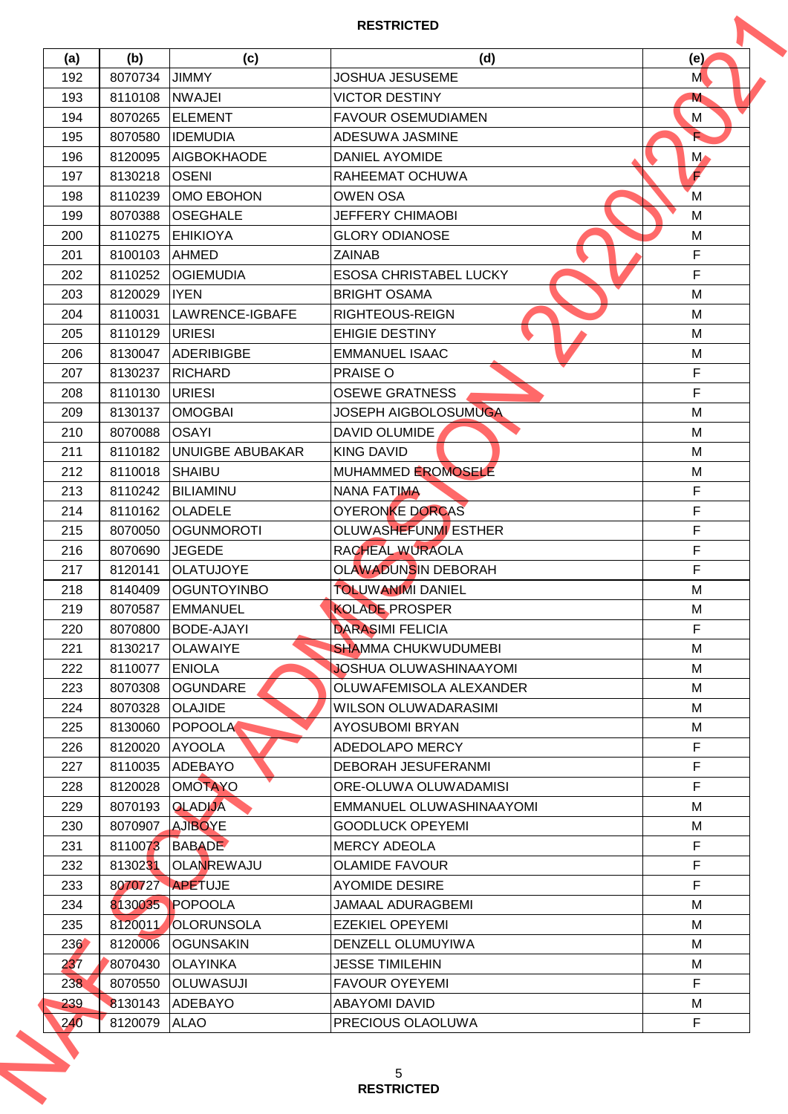|     |         |                    | <b>RESTRICTED</b>             |               |
|-----|---------|--------------------|-------------------------------|---------------|
| (a) | (b)     | (c)                | (d)                           | (e)           |
| 192 | 8070734 | <b>JIMMY</b>       | <b>JOSHUA JESUSEME</b>        | M             |
| 193 | 8110108 | <b>NWAJEI</b>      | <b>VICTOR DESTINY</b>         | M             |
| 194 | 8070265 | <b>ELEMENT</b>     | <b>FAVOUR OSEMUDIAMEN</b>     | М             |
| 195 | 8070580 | <b>IDEMUDIA</b>    | ADESUWA JASMINE               |               |
| 196 | 8120095 | <b>AIGBOKHAODE</b> | <b>DANIEL AYOMIDE</b>         | $M_{\bullet}$ |
| 197 | 8130218 | <b>OSENI</b>       | RAHEEMAT OCHUWA               | F             |
| 198 | 8110239 | OMO EBOHON         | <b>OWEN OSA</b>               | M             |
| 199 | 8070388 | OSEGHALE           | <b>JEFFERY CHIMAOBI</b>       | M             |
| 200 | 8110275 | <b>EHIKIOYA</b>    | <b>GLORY ODIANOSE</b>         | M             |
| 201 | 8100103 | <b>AHMED</b>       | <b>ZAINAB</b>                 | $\mathsf F$   |
| 202 | 8110252 | <b>OGIEMUDIA</b>   | <b>ESOSA CHRISTABEL LUCKY</b> | $\mathsf F$   |
| 203 | 8120029 | <b>IYEN</b>        | <b>BRIGHT OSAMA</b>           | M             |
| 204 | 8110031 | LAWRENCE-IGBAFE    | <b>RIGHTEOUS-REIGN</b>        | M             |
| 205 | 8110129 | <b>URIESI</b>      | <b>EHIGIE DESTINY</b>         | M             |
| 206 | 8130047 | <b>ADERIBIGBE</b>  | <b>EMMANUEL ISAAC</b>         | M             |
| 207 | 8130237 | <b>RICHARD</b>     | PRAISE O                      | F             |
| 208 | 8110130 | URIESI             | <b>OSEWE GRATNESS</b>         | F             |
| 209 | 8130137 | <b>OMOGBAI</b>     | <b>JOSEPH AIGBOLOSUMUGA</b>   | M             |
| 210 | 8070088 | <b>OSAYI</b>       | DAVID OLUMIDE                 | M             |
| 211 | 8110182 | UNUIGBE ABUBAKAR   | <b>KING DAVID</b>             | M             |
| 212 | 8110018 | <b>SHAIBU</b>      | MUHAMMED EROMOSELE            | M             |
| 213 | 8110242 | <b>BILIAMINU</b>   | <b>NANA FATIMA</b>            | $\mathsf{F}$  |
| 214 | 8110162 | <b>OLADELE</b>     | <b>OYERONKE DORCAS</b>        | $\mathsf F$   |
| 215 | 8070050 | <b>OGUNMOROTI</b>  | <b>OLUWASHEFUNMI ESTHER</b>   | F             |
| 216 | 8070690 | <b>JEGEDE</b>      | RACHEAL WURAOLA               | F             |
| 217 | 8120141 | <b>OLATUJOYE</b>   | OLAWADUNSIN DEBORAH           | F             |
| 218 | 8140409 | <b>OGUNTOYINBO</b> | <b>TOLUWANIMI DANIEL</b>      | M             |
| 219 |         | 8070587 EMMANUEL   | KOLADE PROSPER                | M             |
| 220 | 8070800 | BODE-AJAYI         | <b>DARASIMI FELICIA</b>       | F             |
| 221 |         | 8130217 OLAWAIYE   | <b>SHAMMA CHUKWUDUMEBI</b>    | M             |
| 222 | 8110077 | <b>ENIOLA</b>      | JOSHUA OLUWASHINAAYOMI        | м             |
| 223 | 8070308 | <b>OGUNDARE</b>    | OLUWAFEMISOLA ALEXANDER       | м             |
| 224 | 8070328 | <b>OLAJIDE</b>     | WILSON OLUWADARASIMI          | м             |
| 225 | 8130060 | <b>POPOOLA</b>     | <b>AYOSUBOMI BRYAN</b>        | м             |
| 226 | 8120020 | <b>AYOOLA</b>      | ADEDOLAPO MERCY               | $\mathsf F$   |
| 227 | 8110035 | ADEBAYO            | <b>DEBORAH JESUFERANMI</b>    | $\mathsf F$   |
| 228 | 8120028 | <b>OMOTAYO</b>     | ORE-OLUWA OLUWADAMISI         | F             |
| 229 | 8070193 | <b>OLADIJA</b>     | EMMANUEL OLUWASHINAAYOMI      | М             |
| 230 | 8070907 | <b>AJIBOYE</b>     | <b>GOODLUCK OPEYEMI</b>       | M             |
| 231 | 8110073 | <b>BABADE</b>      | <b>MERCY ADEOLA</b>           | F             |
| 232 | 8130231 | <b>OLANREWAJU</b>  | <b>OLAMIDE FAVOUR</b>         | F             |
| 233 | 8070727 | <b>APETUJE</b>     | <b>AYOMIDE DESIRE</b>         | $\mathsf F$   |
| 234 |         | 8130035 POPOOLA    | JAMAAL ADURAGBEMI             | M             |
| 235 | 8120011 | OLORUNSOLA         | <b>EZEKIEL OPEYEMI</b>        | M             |
| 236 | 8120006 | <b>OGUNSAKIN</b>   | DENZELL OLUMUYIWA             | M             |
| 237 | 8070430 | <b>OLAYINKA</b>    | <b>JESSE TIMILEHIN</b>        | М             |
| 238 | 8070550 | <b>OLUWASUJI</b>   | <b>FAVOUR OYEYEMI</b>         | F.            |
| 239 | 8130143 | <b>ADEBAYO</b>     | <b>ABAYOMI DAVID</b>          | М             |
| 240 | 8120079 | <b>ALAO</b>        | PRECIOUS OLAOLUWA             | $\mathsf F$   |
|     |         |                    | 5<br><b>RESTRICTED</b>        |               |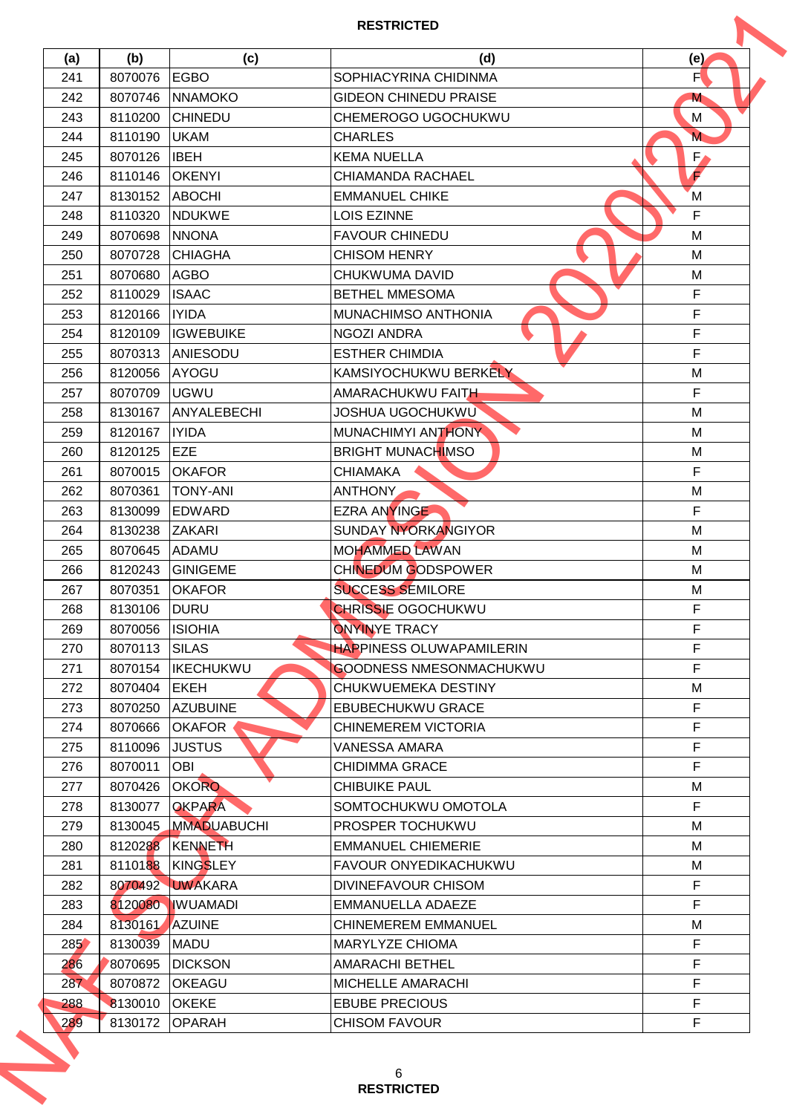|     |              |                     | <b>RESTRICTED</b>                                      |                  |
|-----|--------------|---------------------|--------------------------------------------------------|------------------|
| (a) | (b)          | (c)                 | (d)                                                    | (e)              |
| 241 | 8070076      | <b>EGBO</b>         | SOPHIACYRINA CHIDINMA                                  | F                |
| 242 | 8070746      | <b>NNAMOKO</b>      | <b>GIDEON CHINEDU PRAISE</b>                           | M                |
| 243 | 8110200      | <b>CHINEDU</b>      | CHEMEROGO UGOCHUKWU                                    | М                |
| 244 | 8110190      | <b>UKAM</b>         | <b>CHARLES</b>                                         | M                |
| 245 | 8070126      | <b>IBEH</b>         | <b>KEMA NUELLA</b>                                     | $F_{\ell}$       |
| 246 | 8110146      | <b>OKENYI</b>       | <b>CHIAMANDA RACHAEL</b>                               | F                |
| 247 | 8130152      | <b>ABOCHI</b>       | <b>EMMANUEL CHIKE</b>                                  | M                |
| 248 | 8110320      | <b>NDUKWE</b>       | <b>LOIS EZINNE</b>                                     | F                |
| 249 | 8070698      | <b>NNONA</b>        | <b>FAVOUR CHINEDU</b>                                  | M                |
| 250 | 8070728      | CHIAGHA             | <b>CHISOM HENRY</b>                                    | M                |
| 251 | 8070680      | <b>AGBO</b>         | CHUKWUMA DAVID                                         | M                |
| 252 | 8110029      | <b>ISAAC</b>        | <b>BETHEL MMESOMA</b>                                  | $\mathsf F$      |
| 253 | 8120166      | <b>IYIDA</b>        | MUNACHIMSO ANTHONIA                                    | F                |
| 254 | 8120109      | <b>IGWEBUIKE</b>    | <b>NGOZI ANDRA</b>                                     | $\mathsf F$      |
| 255 | 8070313      | ANIESODU            | <b>ESTHER CHIMDIA</b>                                  | $\mathsf F$      |
| 256 | 8120056      | AYOGU               | KAMSIYOCHUKWU BERKELY                                  | M                |
| 257 | 8070709      | <b>UGWU</b>         | AMARACHUKWU FAITH                                      | F                |
| 258 | 8130167      | ANYALEBECHI         | <b>JOSHUA UGOCHUKWU</b>                                | M                |
| 259 | 8120167      | <b>IYIDA</b>        | MUNACHIMYI ANTHONY                                     | М                |
| 260 | 8120125      | <b>EZE</b>          | <b>BRIGHT MUNACHIMSO</b>                               | M                |
| 261 | 8070015      | <b>OKAFOR</b>       | <b>CHIAMAKA</b>                                        | $\mathsf{F}$     |
| 262 | 8070361      | <b>TONY-ANI</b>     | ANTHONY                                                | M                |
| 263 | 8130099      | <b>IEDWARD</b>      | <b>EZRA ANYINGE</b>                                    | $\mathsf F$      |
| 264 | 8130238      | <b>ZAKARI</b>       | <b>SUNDAY NYORKANGIYOR</b>                             | M                |
| 265 | 8070645      | <b>ADAMU</b>        | <b>MOHAMMED LAWAN</b>                                  | M                |
| 266 | 8120243      | <b>GINIGEME</b>     | CHINEDUM GODSPOWER                                     | M                |
| 267 | 8070351      | <b>OKAFOR</b>       | <b>SUCCESS SEMILORE</b>                                | M                |
| 268 | 8130106 DURU |                     | <b>CHRISSIE OGOCHUKWU</b>                              | $\mathsf F$      |
| 269 | 8070056      | <b>ISIOHIA</b>      | <b>ONYINYE TRACY</b>                                   | F                |
| 270 | 8070113      | SILAS               | <b>HAPPINESS OLUWAPAMILERIN</b>                        | F                |
| 271 | 8070154      | <b>IKECHUKWU</b>    | <b>GOODNESS NMESONMACHUKWU</b>                         | F                |
|     | 8070404      | <b>EKEH</b>         |                                                        |                  |
| 272 |              |                     | CHUKWUEMEKA DESTINY                                    | М<br>$\mathsf F$ |
| 273 | 8070250      | <b>AZUBUINE</b>     | <b>EBUBECHUKWU GRACE</b><br><b>CHINEMEREM VICTORIA</b> | $\mathsf F$      |
| 274 | 8070666      | <b>OKAFOR</b>       |                                                        | F                |
| 275 | 8110096      | <b>JUSTUS</b>       | VANESSA AMARA                                          |                  |
| 276 | 8070011      | <b>OBI</b>          | <b>CHIDIMMA GRACE</b>                                  | $\mathsf F$      |
| 277 | 8070426      | <b>OKORO</b>        | <b>CHIBUIKE PAUL</b>                                   | М                |
| 278 | 8130077      | <b>OKPARA</b>       | SOMTOCHUKWU OMOTOLA                                    | $\mathsf F$      |
| 279 |              | 8130045 MMADUABUCHI | <b>PROSPER TOCHUKWU</b>                                | M                |
| 280 |              | 8120288 KENNETH     | <b>EMMANUEL CHIEMERIE</b>                              | м                |
| 281 |              | 8110188   KINGSLEY  | <b>FAVOUR ONYEDIKACHUKWU</b>                           | M                |
| 282 |              | 8070492 UWAKARA     | DIVINEFAVOUR CHISOM                                    | $\mathsf F$      |
| 283 |              | 8120080 WUAMADI     | <b>EMMANUELLA ADAEZE</b>                               | F                |
| 284 | 8130161      | AZUINE              | <b>CHINEMEREM EMMANUEL</b>                             | М                |
| 285 | 8130039      | <b>MADU</b>         | MARYLYZE CHIOMA                                        | F                |
| 286 | 8070695      | <b>DICKSON</b>      | <b>AMARACHI BETHEL</b>                                 | F                |
| 287 | 8070872      | <b>OKEAGU</b>       | MICHELLE AMARACHI                                      | F                |
| 288 | 8130010      | <b>OKEKE</b>        | <b>EBUBE PRECIOUS</b>                                  | $\mathsf F$      |
| 289 | 8130172      | <b>OPARAH</b>       | <b>CHISOM FAVOUR</b>                                   | F                |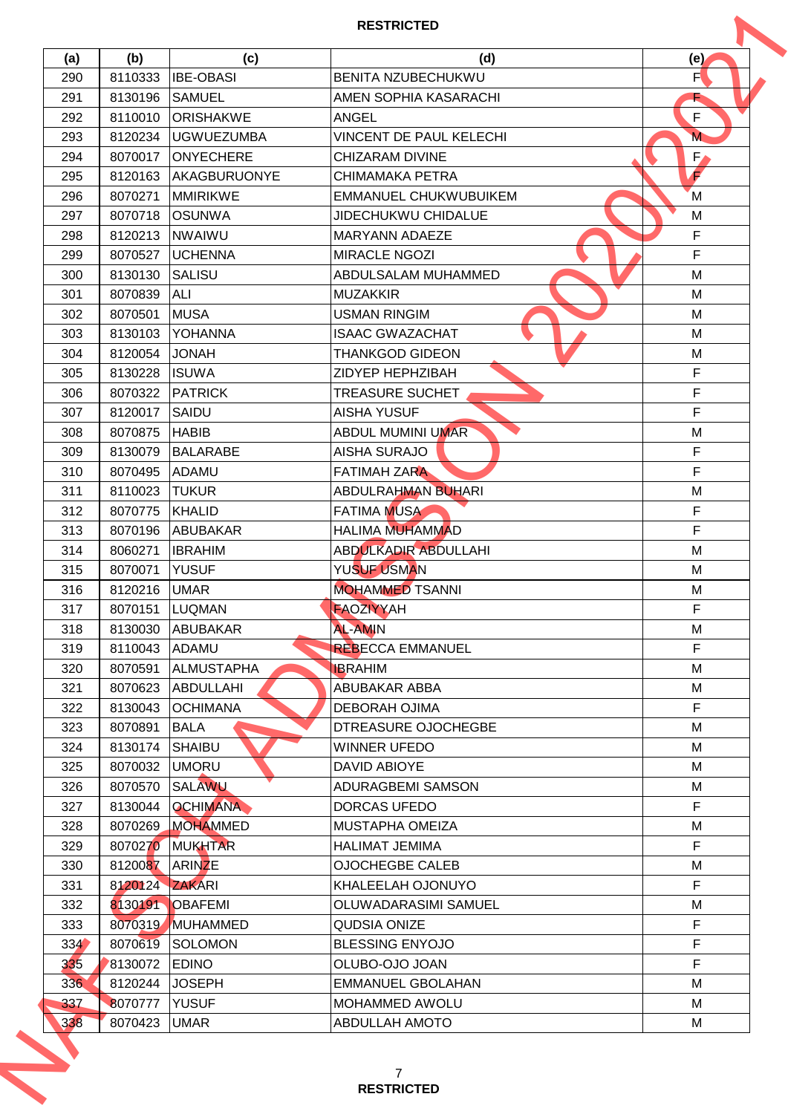|     |                |                     | <b>RESTRICTED</b>              |             |
|-----|----------------|---------------------|--------------------------------|-------------|
| (a) | (b)            | (c)                 | (d)                            | (e)         |
| 290 | 8110333        | <b>IBE-OBASI</b>    | BENITA NZUBECHUKWU             | F           |
| 291 | 8130196        | SAMUEL              | AMEN SOPHIA KASARACHI          |             |
| 292 | 8110010        | ORISHAKWE           | <b>ANGEL</b>                   | F           |
| 293 | 8120234        | <b>UGWUEZUMBA</b>   | <b>VINCENT DE PAUL KELECHI</b> | M           |
| 294 | 8070017        | <b>ONYECHERE</b>    | <b>CHIZARAM DIVINE</b>         | $F_{\ell}$  |
| 295 | 8120163        | <b>AKAGBURUONYE</b> | CHIMAMAKA PETRA                | F           |
| 296 | 8070271        | <b>MMIRIKWE</b>     | <b>EMMANUEL CHUKWUBUIKEM</b>   | M           |
| 297 | 8070718        | <b>OSUNWA</b>       | <b>JIDECHUKWU CHIDALUE</b>     | M           |
| 298 | 8120213        | <b>NWAIWU</b>       | <b>MARYANN ADAEZE</b>          | $\mathsf F$ |
| 299 | 8070527        | <b>UCHENNA</b>      | <b>MIRACLE NGOZI</b>           | F           |
| 300 | 8130130        | <b>SALISU</b>       | ABDULSALAM MUHAMMED            | M           |
| 301 | 8070839        | ALI                 | <b>MUZAKKIR</b>                | M           |
| 302 | 8070501        | <b>MUSA</b>         | <b>USMAN RINGIM</b>            | M           |
| 303 | 8130103        | YOHANNA             | <b>ISAAC GWAZACHAT</b>         | M           |
| 304 | 8120054        | <b>JONAH</b>        | <b>THANKGOD GIDEON</b>         | M           |
| 305 | 8130228        | <b>ISUWA</b>        | ZIDYEP HEPHZIBAH               | $\mathsf F$ |
| 306 | 8070322        | <b>PATRICK</b>      | <b>TREASURE SUCHET</b>         | F           |
| 307 | 8120017        | SAIDU               | <b>AISHA YUSUF</b>             | F           |
| 308 | 8070875        | <b>HABIB</b>        | <b>ABDUL MUMINI UMAR</b>       | M           |
| 309 | 8130079        | <b>BALARABE</b>     | <b>AISHA SURAJO</b>            | $\mathsf F$ |
| 310 | 8070495        | <b>ADAMU</b>        | <b>FATIMAH ZARA</b>            | F           |
| 311 | 8110023        | <b>TUKUR</b>        | <b>ABDULRAHMAN BUHARI</b>      | M           |
| 312 | 8070775        | KHALID              | <b>FATIMA MUSA</b>             | $\mathsf F$ |
| 313 | 8070196        | <b>ABUBAKAR</b>     | <b>HALIMA MUHAMMAD</b>         | F           |
| 314 | 8060271        | <b>IBRAHIM</b>      | <b>ABDULKADIR ABDULLAHI</b>    | M           |
| 315 | 8070071        | <b>YUSUF</b>        | YUSUF USMAN                    | M           |
| 316 | 8120216        | <b>UMAR</b>         | <b>MOHAMMED TSANNI</b>         | M           |
| 317 | 8070151        | LUQMAN              | FAOZIYYAH                      | $\mathsf F$ |
| 318 | 8130030        | <b>ABUBAKAR</b>     | <b>AL-AMIN</b>                 | М           |
| 319 | 8110043 ADAMU  |                     | <b>REBECCA EMMANUEL</b>        | F           |
| 320 | 8070591        | <b>ALMUSTAPHA</b>   | <b>IBRAHIM</b>                 | м           |
| 321 | 8070623        | ABDULLAHI           | <b>ABUBAKAR ABBA</b>           | м           |
| 322 | 8130043        | <b>OCHIMANA</b>     | <b>DEBORAH OJIMA</b>           | $\mathsf F$ |
| 323 | 8070891        | <b>BALA</b>         | DTREASURE OJOCHEGBE            | м           |
| 324 | 8130174        | <b>SHAIBU</b>       | <b>WINNER UFEDO</b>            | м           |
| 325 | 8070032        | <b>UMORU</b>        | DAVID ABIOYE                   | м           |
| 326 | 8070570        | SALAWU              | ADURAGBEMI SAMSON              | м           |
| 327 | 8130044        | <b>OCHIMANA</b>     | <b>DORCAS UFEDO</b>            | $\mathsf F$ |
| 328 |                | 8070269 MOHAMMED    | <b>MUSTAPHA OMEIZA</b>         | M           |
| 329 |                | 8070270 MUKHTAR     | <b>HALIMAT JEMIMA</b>          | $\mathsf F$ |
| 330 | 8120087 ARINZE |                     | <b>OJOCHEGBE CALEB</b>         | M           |
| 331 | 8120124 ZAKARI |                     | KHALEELAH OJONUYO              | $\mathsf F$ |
| 332 |                | 8130191 OBAFEMI     | OLUWADARASIMI SAMUEL           | M           |
| 333 | 8070319        | MUHAMMED            | <b>QUDSIA ONIZE</b>            | F           |
| 334 | 8070619        | SOLOMON             | <b>BLESSING ENYOJO</b>         | F           |
| 335 | 8130072        | <b>EDINO</b>        | OLUBO-OJO JOAN                 | F           |
| 336 | 8120244        | <b>JOSEPH</b>       | <b>EMMANUEL GBOLAHAN</b>       | М           |
| 337 | 8070777        | <b>YUSUF</b>        | MOHAMMED AWOLU                 | м           |
| 338 | 8070423        | <b>UMAR</b>         | <b>ABDULLAH AMOTO</b>          | М           |
|     |                |                     | 7<br><b>RESTRICTED</b>         |             |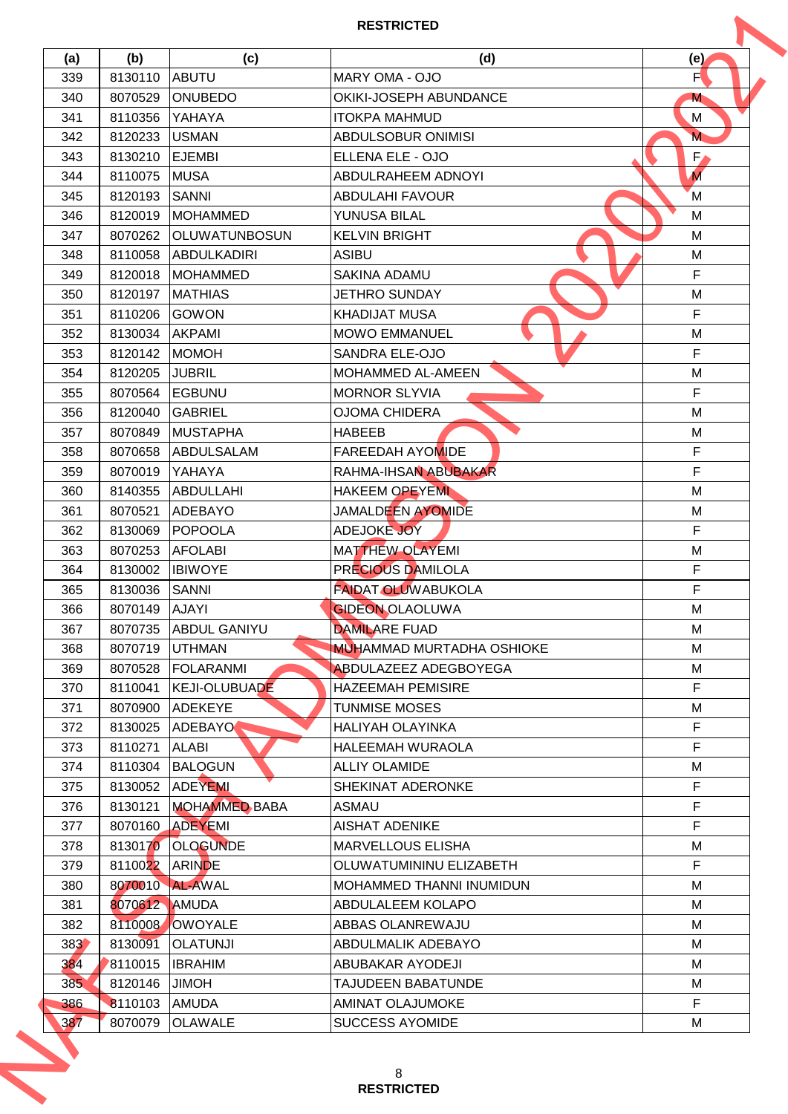|     |                |                                   | <b>RESTRICTED</b>                 |                   |
|-----|----------------|-----------------------------------|-----------------------------------|-------------------|
| (a) | (b)            | (c)                               | (d)                               | (e)               |
| 339 | 8130110        | <b>ABUTU</b>                      | MARY OMA - OJO                    | F                 |
| 340 | 8070529        | <b>ONUBEDO</b>                    | OKIKI-JOSEPH ABUNDANCE            | M                 |
| 341 | 8110356        | YAHAYA                            | <b>ITOKPA MAHMUD</b>              | М                 |
| 342 | 8120233        | <b>USMAN</b>                      | <b>ABDULSOBUR ONIMISI</b>         | M.                |
| 343 | 8130210        | <b>EJEMBI</b>                     | ELLENA ELE - OJO                  | $F_{\ell}$        |
| 344 | 8110075        | <b>MUSA</b>                       | <b>ABDULRAHEEM ADNOYI</b>         | $\overline{M}$    |
| 345 | 8120193        | SANNI                             | <b>ABDULAHI FAVOUR</b>            | M                 |
| 346 | 8120019        | <b>MOHAMMED</b>                   | YUNUSA BILAL                      | М                 |
| 347 | 8070262        | <b>OLUWATUNBOSUN</b>              | <b>KELVIN BRIGHT</b>              | M                 |
| 348 | 8110058        | <b>ABDULKADIRI</b>                | <b>ASIBU</b>                      | M                 |
| 349 | 8120018        | <b>MOHAMMED</b>                   | <b>SAKINA ADAMU</b>               | $\mathsf F$       |
| 350 | 8120197        | <b>MATHIAS</b>                    | <b>JETHRO SUNDAY</b>              | M                 |
| 351 | 8110206        | <b>GOWON</b>                      | <b>KHADIJAT MUSA</b>              | F                 |
| 352 | 8130034        | <b>AKPAMI</b>                     | <b>MOWO EMMANUEL</b>              | M                 |
| 353 | 8120142        | <b>MOMOH</b>                      | SANDRA ELE-OJO                    | $\mathsf F$       |
| 354 | 8120205        | <b>JUBRIL</b>                     | <b>MOHAMMED AL-AMEEN</b>          | M                 |
| 355 | 8070564        | EGBUNU                            | <b>MORNOR SLYVIA</b>              | F                 |
| 356 | 8120040        | <b>GABRIEL</b>                    | <b>OJOMA CHIDERA</b>              | M                 |
| 357 | 8070849        | <b>MUSTAPHA</b>                   | <b>HABEEB</b>                     | M                 |
| 358 | 8070658        | ABDULSALAM                        | <b>FAREEDAH AYOMIDE</b>           | F                 |
| 359 | 8070019        | YAHAYA                            | RAHMA-IHSAN ABUBAKAR              | F                 |
| 360 | 8140355        | <b>ABDULLAHI</b>                  | <b>HAKEEM OPEYEMI</b>             | M                 |
| 361 | 8070521        | <b>ADEBAYO</b>                    | JAMALDEEN AYOMIDE                 | M                 |
| 362 | 8130069        | POPOOLA                           | ADEJOKE JOY                       | F                 |
| 363 | 8070253        | <b>AFOLABI</b>                    | <b>MATTHEW OLAYEMI</b>            | M                 |
| 364 | 8130002        | <b>IBIWOYE</b>                    | PRECIOUS DAMILOLA                 | F                 |
| 365 | 8130036        | SANNI                             | <b>FAIDAT OLUWABUKOLA</b>         | F                 |
| 366 | 8070149 AJAYI  |                                   | <b>GIDEON OLAOLUWA</b>            | M                 |
| 367 | 8070735        | <b>ABDUL GANIYU</b>               | <b>DAMILARE FUAD</b>              | м                 |
| 368 |                | 8070719 UTHMAN                    | <b>MUHAMMAD MURTADHA OSHIOKE</b>  | M                 |
| 369 |                | 8070528 FOLARANMI                 | <b>ABDULAZEEZ ADEGBOYEGA</b>      | М                 |
| 370 | 8110041        | <b>KEJI-OLUBUADE</b>              | <b>HAZEEMAH PEMISIRE</b>          | F                 |
| 371 | 8070900        | <b>ADEKEYE</b>                    | <b>TUNMISE MOSES</b>              | М                 |
| 372 | 8130025        | ADEBAYO                           | <b>HALIYAH OLAYINKA</b>           | $\mathsf F$       |
|     |                |                                   |                                   | F                 |
| 373 | 8110271        | <b>ALABI</b>                      | HALEEMAH WURAOLA                  |                   |
| 374 | 8110304        | <b>BALOGUN</b><br>8130052 ADEYEMI | <b>ALLIY OLAMIDE</b>              | M<br>$\mathsf F$  |
| 375 | 8130121        | <b>MOHAMMED BABA</b>              | SHEKINAT ADERONKE<br><b>ASMAU</b> | $\mathsf F$       |
| 376 |                |                                   |                                   | F                 |
| 377 |                | 8070160 ADEYEMI                   | <b>AISHAT ADENIKE</b>             |                   |
| 378 |                | 8130170 OLOGUNDE                  | MARVELLOUS ELISHA                 | M<br>$\mathsf{F}$ |
| 379 | 8110022 ARINDE |                                   | OLUWATUMININU ELIZABETH           |                   |
| 380 |                | 8070010 AL-AWAL                   | MOHAMMED THANNI INUMIDUN          | M                 |
| 381 | 8070612 AMUDA  |                                   | ABDULALEEM KOLAPO                 | M                 |
| 382 | 8110008        | OWOYALE                           | ABBAS OLANREWAJU                  | м                 |
| 383 | 8130091        | <b>OLATUNJI</b>                   | ABDULMALIK ADEBAYO                | M                 |
| 384 | 8110015        | <b>IBRAHIM</b>                    | ABUBAKAR AYODEJI                  | М                 |
| 385 | 8120146        | <b>HOMIL</b>                      | <b>TAJUDEEN BABATUNDE</b>         | М                 |
| 386 | 8110103        | <b>AMUDA</b>                      | AMINAT OLAJUMOKE                  | F                 |
| 387 | 8070079        | <b>OLAWALE</b>                    | <b>SUCCESS AYOMIDE</b>            | М                 |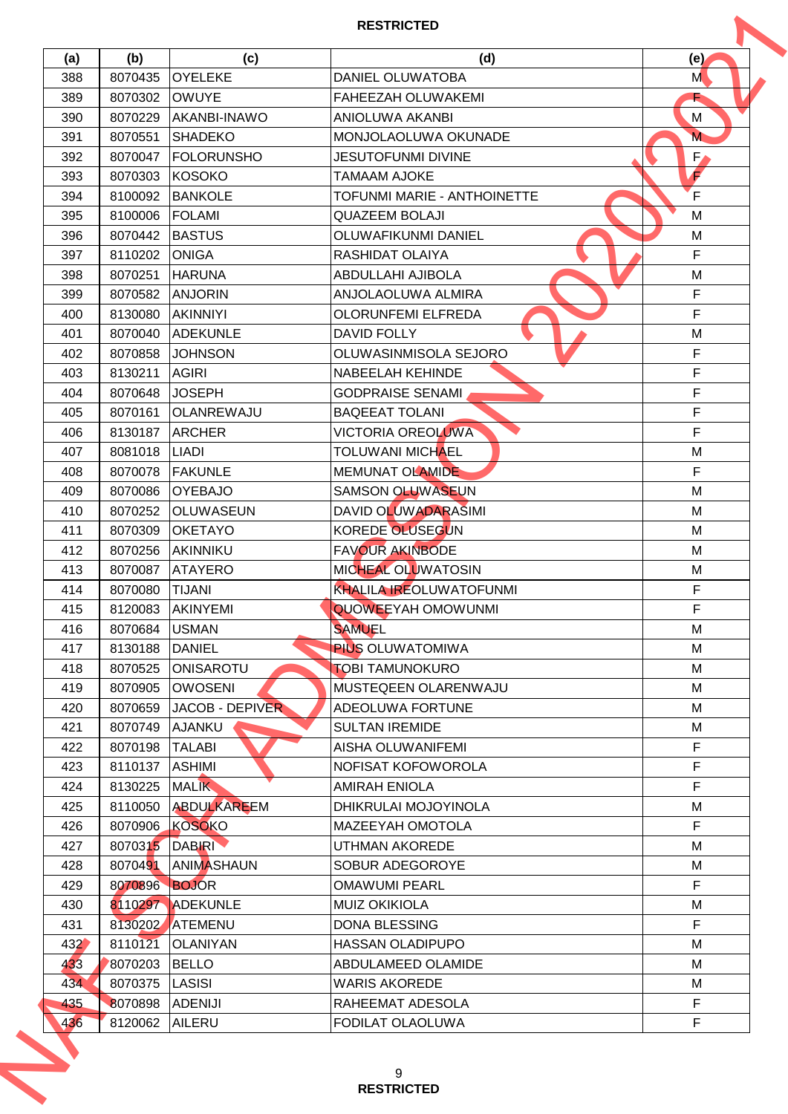|     |         |                        | <b>RESTRICTED</b>                  |               |
|-----|---------|------------------------|------------------------------------|---------------|
| (a) | (b)     | (c)                    | (d)                                | (e)           |
| 388 | 8070435 | <b>OYELEKE</b>         | <b>DANIEL OLUWATOBA</b>            | M             |
| 389 | 8070302 | <b>OWUYE</b>           | FAHEEZAH OLUWAKEMI                 |               |
| 390 | 8070229 | AKANBI-INAWO           | <b>ANIOLUWA AKANBI</b>             | М             |
| 391 | 8070551 | <b>SHADEKO</b>         | MONJOLAOLUWA OKUNADE               | M <sub></sub> |
| 392 | 8070047 | <b>FOLORUNSHO</b>      | <b>JESUTOFUNMI DIVINE</b>          | $F_{\ell}$    |
| 393 | 8070303 | KOSOKO                 | <b>TAMAAM AJOKE</b>                | €             |
| 394 | 8100092 | <b>BANKOLE</b>         | <b>TOFUNMI MARIE - ANTHOINETTE</b> | $\mathsf{F}$  |
| 395 | 8100006 | <b>FOLAMI</b>          | <b>QUAZEEM BOLAJI</b>              | M             |
| 396 | 8070442 | <b>BASTUS</b>          | OLUWAFIKUNMI DANIEL                | M             |
| 397 | 8110202 | <b>ONIGA</b>           | RASHIDAT OLAIYA                    | F             |
| 398 | 8070251 | <b>HARUNA</b>          | ABDULLAHI AJIBOLA                  | M             |
| 399 | 8070582 | <b>ANJORIN</b>         | ANJOLAOLUWA ALMIRA                 | $\mathsf F$   |
| 400 | 8130080 | <b>AKINNIYI</b>        | <b>OLORUNFEMI ELFREDA</b>          | $\mathsf F$   |
| 401 | 8070040 | <b>ADEKUNLE</b>        | <b>DAVID FOLLY</b>                 | M             |
| 402 | 8070858 | <b>JOHNSON</b>         | OLUWASINMISOLA SEJORO              | F             |
| 403 | 8130211 | <b>AGIRI</b>           | <b>NABEELAH KEHINDE</b>            | F             |
| 404 | 8070648 | <b>JOSEPH</b>          | <b>GODPRAISE SENAMI</b>            | F             |
| 405 | 8070161 | OLANREWAJU             | <b>BAQEEAT TOLANI</b>              | F             |
| 406 | 8130187 | <b>ARCHER</b>          | <b>VICTORIA OREOLUWA</b>           | F             |
| 407 | 8081018 | <b>LIADI</b>           | <b>TOLUWANI MICHAEL</b>            | M             |
| 408 | 8070078 | <b>FAKUNLE</b>         | <b>MEMUNAT OLAMIDE</b>             | F             |
| 409 | 8070086 | <b>OYEBAJO</b>         | <b>SAMSON OLUWASEUN</b>            | M             |
| 410 | 8070252 | <b>OLUWASEUN</b>       | DAVID OLUWADARASIMI                | М             |
| 411 | 8070309 | <b>OKETAYO</b>         | <b>KOREDE OLUSEGUN</b>             | M             |
| 412 | 8070256 | AKINNIKU               | <b>FAVOUR AKINBODE</b>             | M             |
| 413 | 8070087 | <b>ATAYERO</b>         | MICHEAL OLUWATOSIN                 | M             |
| 414 | 8070080 | <b>TIJANI</b>          | <b>KHALILA IREOLUWATOFUNMI</b>     | F             |
| 415 | 8120083 | AKINYEMI               | QUOWEEYAH OMOWUNMI                 | $\mathsf F$   |
| 416 | 8070684 | <b>USMAN</b>           | <b>SAMUEL</b>                      | м             |
| 417 | 8130188 | <b>DANIEL</b>          | <b>PIUS OLUWATOMIWA</b>            | M             |
| 418 | 8070525 | <b>ONISAROTU</b>       | <b>TOBI TAMUNOKURO</b>             | M             |
| 419 | 8070905 | <b>OWOSENI</b>         | MUSTEQEEN OLARENWAJU               | м             |
| 420 | 8070659 | <b>JACOB - DEPIVER</b> | <b>ADEOLUWA FORTUNE</b>            | м             |
| 421 | 8070749 | AJANKU                 | <b>SULTAN IREMIDE</b>              | М             |
| 422 | 8070198 | <b>TALABI</b>          | AISHA OLUWANIFEMI                  | F             |
| 423 | 8110137 | <b>ASHIMI</b>          | NOFISAT KOFOWOROLA                 | $\mathsf F$   |
| 424 | 8130225 | <b>MALIK</b>           | <b>AMIRAH ENIOLA</b>               | F             |
| 425 | 8110050 | <b>ABDULKAREEM</b>     | DHIKRULAI MOJOYINOLA               | M             |
| 426 | 8070906 | KOSOKO                 | MAZEEYAH OMOTOLA                   | F             |
| 427 | 8070315 | <b>DABIRI</b>          | UTHMAN AKOREDE                     | м             |
| 428 | 8070491 | <b>ANIMASHAUN</b>      | SOBUR ADEGOROYE                    | M             |
| 429 | 8070896 | <b>BOJOR</b>           | <b>OMAWUMI PEARL</b>               | F             |
| 430 |         | 8110297 ADEKUNLE       | <b>MUIZ OKIKIOLA</b>               | M             |
| 431 |         | 8130202 ATEMENU        | <b>DONA BLESSING</b>               | $\mathsf F$   |
| 432 | 8110121 | <b>OLANIYAN</b>        | <b>HASSAN OLADIPUPO</b>            | M             |
| 433 | 8070203 | <b>BELLO</b>           | ABDULAMEED OLAMIDE                 | М             |
| 434 | 8070375 | <b>LASISI</b>          | <b>WARIS AKOREDE</b>               | М             |
| 435 | 8070898 | <b>ADENIJI</b>         | RAHEEMAT ADESOLA                   | $\mathsf F$   |
|     | 8120062 | <b>AILERU</b>          | FODILAT OLAOLUWA                   | F             |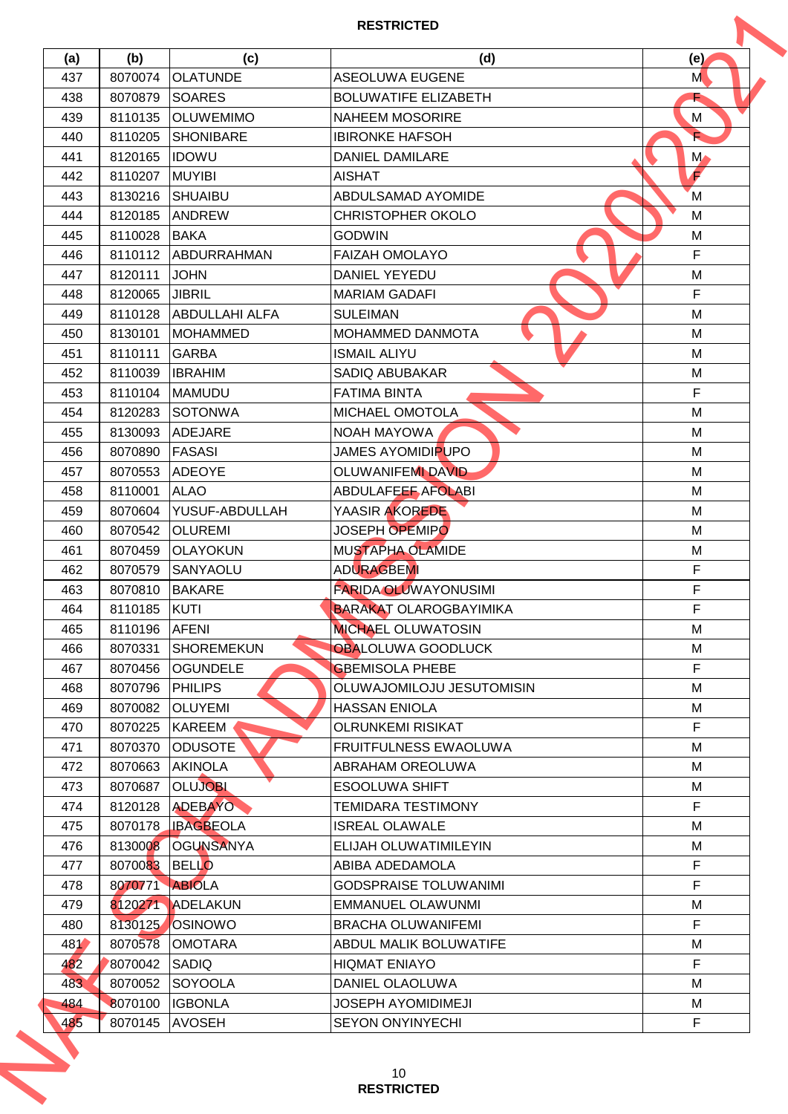|     |                |                       | <b>RESTRICTED</b>             |               |
|-----|----------------|-----------------------|-------------------------------|---------------|
| (a) | (b)            | (c)                   | (d)                           | (e)           |
| 437 | 8070074        | <b>OLATUNDE</b>       | <b>ASEOLUWA EUGENE</b>        | M             |
| 438 | 8070879        | <b>SOARES</b>         | <b>BOLUWATIFE ELIZABETH</b>   |               |
| 439 | 8110135        | <b>OLUWEMIMO</b>      | <b>NAHEEM MOSORIRE</b>        | М             |
| 440 | 8110205        | <b>SHONIBARE</b>      | <b>IBIRONKE HAFSOH</b>        |               |
| 441 | 8120165        | <b>IDOWU</b>          | <b>DANIEL DAMILARE</b>        | $M_{\bullet}$ |
| 442 | 8110207        | <b>MUYIBI</b>         | <b>AISHAT</b>                 | F             |
| 443 | 8130216        | <b>SHUAIBU</b>        | ABDULSAMAD AYOMIDE            | M             |
| 444 | 8120185        | <b>ANDREW</b>         | <b>CHRISTOPHER OKOLO</b>      | M             |
| 445 | 8110028        | <b>BAKA</b>           | <b>GODWIN</b>                 | M             |
| 446 | 8110112        | ABDURRAHMAN           | <b>FAIZAH OMOLAYO</b>         | $\mathsf F$   |
| 447 | 8120111        | <b>JOHN</b>           | <b>DANIEL YEYEDU</b>          | M             |
| 448 | 8120065        | <b>JIBRIL</b>         | <b>MARIAM GADAFI</b>          | F             |
| 449 | 8110128        | <b>ABDULLAHI ALFA</b> | <b>SULEIMAN</b>               | M             |
| 450 | 8130101        | <b>MOHAMMED</b>       | MOHAMMED DANMOTA              | M             |
| 451 | 8110111        | <b>GARBA</b>          | <b>ISMAIL ALIYU</b>           | M             |
| 452 | 8110039        | <b>IBRAHIM</b>        | <b>SADIQ ABUBAKAR</b>         | M             |
| 453 | 8110104        | <b>MAMUDU</b>         | <b>FATIMA BINTA</b>           | F             |
| 454 | 8120283        | SOTONWA               | MICHAEL OMOTOLA               | M             |
| 455 | 8130093        | ADEJARE               | <b>NOAH MAYOWA</b>            | M             |
| 456 | 8070890        | <b>FASASI</b>         | <b>JAMES AYOMIDIPUPO</b>      | M             |
| 457 | 8070553        | <b>ADEOYE</b>         | <b>OLUWANIFEMI DAVID</b>      | М             |
| 458 | 8110001        | <b>ALAO</b>           | <b>ABDULAFEEF AFOLABI</b>     | M             |
| 459 | 8070604        | YUSUF-ABDULLAH        | YAASIR AKOREDE                | M             |
| 460 | 8070542        | <b>OLUREMI</b>        | <b>JOSEPH OPEMIPO</b>         | M             |
| 461 | 8070459        | <b>OLAYOKUN</b>       | <b>MUSTAPHA OLAMIDE</b>       | M             |
| 462 | 8070579        | SANYAOLU              | <b>ADURAGBEMI</b>             | F             |
| 463 | 8070810        | <b>BAKARE</b>         | <b>FARIDA OLUWAYONUSIMI</b>   | F             |
| 464 | 8110185 KUTI   |                       | <b>BARAKAT OLAROGBAYIMIKA</b> | $\mathsf F$   |
| 465 | 8110196        | <b>AFENI</b>          | <b>MICHAEL OLUWATOSIN</b>     | М             |
| 466 | 8070331        | <b>SHOREMEKUN</b>     | OBALOLUWA GOODLUCK            | M             |
| 467 | 8070456        | <b>OGUNDELE</b>       | <b>GBEMISOLA PHEBE</b>        | $\mathsf{F}$  |
| 468 | 8070796        | <b>PHILIPS</b>        | OLUWAJOMILOJU JESUTOMISIN     | м             |
| 469 | 8070082        | <b>OLUYEMI</b>        | <b>HASSAN ENIOLA</b>          | M             |
| 470 | 8070225        | <b>KAREEM</b>         | <b>OLRUNKEMI RISIKAT</b>      | F             |
| 471 | 8070370        | <b>ODUSOTE</b>        | <b>FRUITFULNESS EWAOLUWA</b>  | M             |
| 472 | 8070663        | <b>AKINOLA</b>        | <b>ABRAHAM OREOLUWA</b>       | м             |
| 473 | 8070687        | <b>OLUJOBI</b>        | <b>ESOOLUWA SHIFT</b>         | м             |
| 474 | 8120128        | ADEBAYO               | TEMIDARA TESTIMONY            | $\mathsf F$   |
| 475 | 8070178        | <b>IBAGBEOLA</b>      | <b>ISREAL OLAWALE</b>         | M             |
| 476 | 8130008        | <b>OGUNSANYA</b>      | ELIJAH OLUWATIMILEYIN         | м             |
| 477 | 8070083 BELLO  |                       | ABIBA ADEDAMOLA               | $\mathsf F$   |
| 478 | 8070771 ABIOLA |                       | <b>GODSPRAISE TOLUWANIMI</b>  | $\mathsf F$   |
| 479 |                | 8120271 ADELAKUN      | <b>EMMANUEL OLAWUNMI</b>      | M             |
| 480 | 8130125        | OSINOWO               | <b>BRACHA OLUWANIFEMI</b>     | F             |
| 481 | 8070578        | <b>OMOTARA</b>        | ABDUL MALIK BOLUWATIFE        | М             |
| 482 | 8070042        | SADIQ                 | <b>HIQMAT ENIAYO</b>          | F             |
| 483 | 8070052        | SOYOOLA               | DANIEL OLAOLUWA               | М             |
| 484 | 8070100        | <b>IGBONLA</b>        | <b>JOSEPH AYOMIDIMEJI</b>     | М             |
| 485 | 8070145        | <b>AVOSEH</b>         | <b>SEYON ONYINYECHI</b>       | $\mathsf F$   |
|     |                |                       | 10<br><b>RESTRICTED</b>       |               |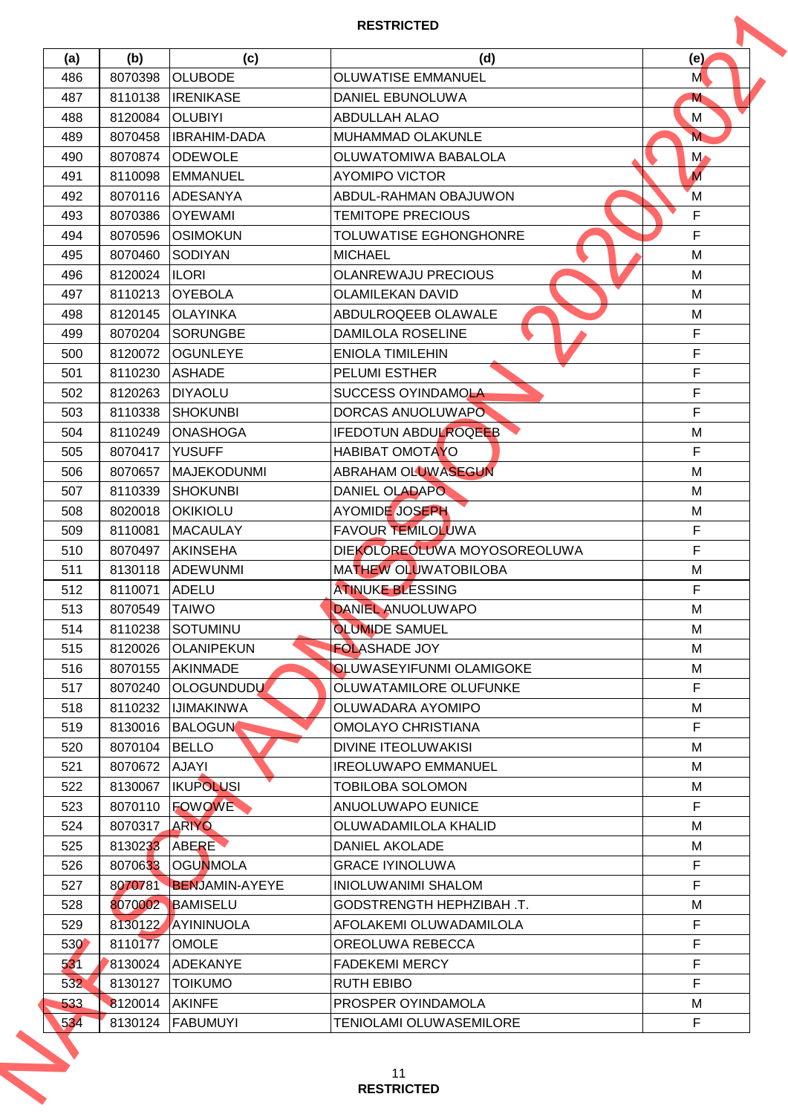| (b)<br>8070398<br>8110138<br>8120084<br>8070458<br>8070874<br>8110098<br>8070116<br>8070386<br>8070596<br>8070460<br>8120024<br>8110213<br>8120145<br>8070204<br>8120072<br>8110230<br>8120263<br>8110338<br>8110249<br>8070417<br>8070657<br>8110339<br>8020018<br>8110081<br>8070497 | (c)<br><b>OLUBODE</b><br><b>IRENIKASE</b><br><b>OLUBIYI</b><br><b>IBRAHIM-DADA</b><br><b>ODEWOLE</b><br><b>EMMANUEL</b><br><b>ADESANYA</b><br><b>OYEWAMI</b><br><b>OSIMOKUN</b><br>SODIYAN<br><b>ILORI</b><br><b>OYEBOLA</b><br><b>OLAYINKA</b><br><b>SORUNGBE</b><br><b>OGUNLEYE</b><br><b>ASHADE</b><br><b>DIYAOLU</b><br><b>SHOKUNBI</b><br><b>ONASHOGA</b><br><b>YUSUFF</b><br><b>MAJEKODUNMI</b><br><b>SHOKUNBI</b><br><b>OKIKIOLU</b><br><b>MACAULAY</b> | (d)<br><b>OLUWATISE EMMANUEL</b><br><b>DANIEL EBUNOLUWA</b><br><b>ABDULLAH ALAO</b><br><b>MUHAMMAD OLAKUNLE</b><br>OLUWATOMIWA BABALOLA<br><b>AYOMIPO VICTOR</b><br>ABDUL-RAHMAN OBAJUWON<br><b>TEMITOPE PRECIOUS</b><br>TOLUWATISE EGHONGHONRE<br><b>MICHAEL</b><br><b>OLANREWAJU PRECIOUS</b><br><b>OLAMILEKAN DAVID</b><br>ABDULROQEEB OLAWALE<br><b>DAMILOLA ROSELINE</b><br><b>ENIOLA TIMILEHIN</b><br><b>PELUMI ESTHER</b><br>SUCCESS OYINDAMOLA<br>DORCAS ANUOLUWAPO<br><b>IFEDOTUN ABDULROQEEB</b><br><b>HABIBAT OMOTAYO</b><br><b>ABRAHAM OLUWASEGUN</b><br>DANIEL OLADAPO<br>AYOMIDE JOSEPH | (e)<br>M<br>M<br>М<br>M<br>$M_{\bullet}$<br>$\overline{M}$<br>M<br>$\mathsf F$<br>$\mathsf F$<br>M<br>M<br>M<br>M<br>$\mathsf F$<br>F<br>F<br>F<br>F<br>M<br>F<br>М<br>M |
|----------------------------------------------------------------------------------------------------------------------------------------------------------------------------------------------------------------------------------------------------------------------------------------|----------------------------------------------------------------------------------------------------------------------------------------------------------------------------------------------------------------------------------------------------------------------------------------------------------------------------------------------------------------------------------------------------------------------------------------------------------------|-------------------------------------------------------------------------------------------------------------------------------------------------------------------------------------------------------------------------------------------------------------------------------------------------------------------------------------------------------------------------------------------------------------------------------------------------------------------------------------------------------------------------------------------------------------------------------------------------------|--------------------------------------------------------------------------------------------------------------------------------------------------------------------------|
|                                                                                                                                                                                                                                                                                        |                                                                                                                                                                                                                                                                                                                                                                                                                                                                |                                                                                                                                                                                                                                                                                                                                                                                                                                                                                                                                                                                                       |                                                                                                                                                                          |
|                                                                                                                                                                                                                                                                                        |                                                                                                                                                                                                                                                                                                                                                                                                                                                                |                                                                                                                                                                                                                                                                                                                                                                                                                                                                                                                                                                                                       |                                                                                                                                                                          |
|                                                                                                                                                                                                                                                                                        |                                                                                                                                                                                                                                                                                                                                                                                                                                                                |                                                                                                                                                                                                                                                                                                                                                                                                                                                                                                                                                                                                       |                                                                                                                                                                          |
|                                                                                                                                                                                                                                                                                        |                                                                                                                                                                                                                                                                                                                                                                                                                                                                |                                                                                                                                                                                                                                                                                                                                                                                                                                                                                                                                                                                                       |                                                                                                                                                                          |
|                                                                                                                                                                                                                                                                                        |                                                                                                                                                                                                                                                                                                                                                                                                                                                                |                                                                                                                                                                                                                                                                                                                                                                                                                                                                                                                                                                                                       |                                                                                                                                                                          |
|                                                                                                                                                                                                                                                                                        |                                                                                                                                                                                                                                                                                                                                                                                                                                                                |                                                                                                                                                                                                                                                                                                                                                                                                                                                                                                                                                                                                       |                                                                                                                                                                          |
|                                                                                                                                                                                                                                                                                        |                                                                                                                                                                                                                                                                                                                                                                                                                                                                |                                                                                                                                                                                                                                                                                                                                                                                                                                                                                                                                                                                                       |                                                                                                                                                                          |
|                                                                                                                                                                                                                                                                                        |                                                                                                                                                                                                                                                                                                                                                                                                                                                                |                                                                                                                                                                                                                                                                                                                                                                                                                                                                                                                                                                                                       |                                                                                                                                                                          |
|                                                                                                                                                                                                                                                                                        |                                                                                                                                                                                                                                                                                                                                                                                                                                                                |                                                                                                                                                                                                                                                                                                                                                                                                                                                                                                                                                                                                       |                                                                                                                                                                          |
|                                                                                                                                                                                                                                                                                        |                                                                                                                                                                                                                                                                                                                                                                                                                                                                |                                                                                                                                                                                                                                                                                                                                                                                                                                                                                                                                                                                                       |                                                                                                                                                                          |
|                                                                                                                                                                                                                                                                                        |                                                                                                                                                                                                                                                                                                                                                                                                                                                                |                                                                                                                                                                                                                                                                                                                                                                                                                                                                                                                                                                                                       |                                                                                                                                                                          |
|                                                                                                                                                                                                                                                                                        |                                                                                                                                                                                                                                                                                                                                                                                                                                                                |                                                                                                                                                                                                                                                                                                                                                                                                                                                                                                                                                                                                       |                                                                                                                                                                          |
|                                                                                                                                                                                                                                                                                        |                                                                                                                                                                                                                                                                                                                                                                                                                                                                |                                                                                                                                                                                                                                                                                                                                                                                                                                                                                                                                                                                                       |                                                                                                                                                                          |
|                                                                                                                                                                                                                                                                                        |                                                                                                                                                                                                                                                                                                                                                                                                                                                                |                                                                                                                                                                                                                                                                                                                                                                                                                                                                                                                                                                                                       |                                                                                                                                                                          |
|                                                                                                                                                                                                                                                                                        |                                                                                                                                                                                                                                                                                                                                                                                                                                                                |                                                                                                                                                                                                                                                                                                                                                                                                                                                                                                                                                                                                       |                                                                                                                                                                          |
|                                                                                                                                                                                                                                                                                        |                                                                                                                                                                                                                                                                                                                                                                                                                                                                |                                                                                                                                                                                                                                                                                                                                                                                                                                                                                                                                                                                                       |                                                                                                                                                                          |
|                                                                                                                                                                                                                                                                                        |                                                                                                                                                                                                                                                                                                                                                                                                                                                                |                                                                                                                                                                                                                                                                                                                                                                                                                                                                                                                                                                                                       |                                                                                                                                                                          |
|                                                                                                                                                                                                                                                                                        |                                                                                                                                                                                                                                                                                                                                                                                                                                                                |                                                                                                                                                                                                                                                                                                                                                                                                                                                                                                                                                                                                       |                                                                                                                                                                          |
|                                                                                                                                                                                                                                                                                        |                                                                                                                                                                                                                                                                                                                                                                                                                                                                |                                                                                                                                                                                                                                                                                                                                                                                                                                                                                                                                                                                                       |                                                                                                                                                                          |
|                                                                                                                                                                                                                                                                                        |                                                                                                                                                                                                                                                                                                                                                                                                                                                                |                                                                                                                                                                                                                                                                                                                                                                                                                                                                                                                                                                                                       |                                                                                                                                                                          |
|                                                                                                                                                                                                                                                                                        |                                                                                                                                                                                                                                                                                                                                                                                                                                                                |                                                                                                                                                                                                                                                                                                                                                                                                                                                                                                                                                                                                       |                                                                                                                                                                          |
|                                                                                                                                                                                                                                                                                        |                                                                                                                                                                                                                                                                                                                                                                                                                                                                |                                                                                                                                                                                                                                                                                                                                                                                                                                                                                                                                                                                                       |                                                                                                                                                                          |
|                                                                                                                                                                                                                                                                                        |                                                                                                                                                                                                                                                                                                                                                                                                                                                                |                                                                                                                                                                                                                                                                                                                                                                                                                                                                                                                                                                                                       |                                                                                                                                                                          |
|                                                                                                                                                                                                                                                                                        |                                                                                                                                                                                                                                                                                                                                                                                                                                                                |                                                                                                                                                                                                                                                                                                                                                                                                                                                                                                                                                                                                       | M                                                                                                                                                                        |
|                                                                                                                                                                                                                                                                                        |                                                                                                                                                                                                                                                                                                                                                                                                                                                                | FAVOUR TEMILOLUWA                                                                                                                                                                                                                                                                                                                                                                                                                                                                                                                                                                                     | F                                                                                                                                                                        |
|                                                                                                                                                                                                                                                                                        | <b>AKINSEHA</b>                                                                                                                                                                                                                                                                                                                                                                                                                                                | DIEKOLOREOLUWA MOYOSOREOLUWA                                                                                                                                                                                                                                                                                                                                                                                                                                                                                                                                                                          | F                                                                                                                                                                        |
| 8130118                                                                                                                                                                                                                                                                                | <b>ADEWUNMI</b>                                                                                                                                                                                                                                                                                                                                                                                                                                                | MATHEW OLUWATOBILOBA                                                                                                                                                                                                                                                                                                                                                                                                                                                                                                                                                                                  | M                                                                                                                                                                        |
| 8110071                                                                                                                                                                                                                                                                                | ADELU                                                                                                                                                                                                                                                                                                                                                                                                                                                          | <b>ATINUKE BLESSING</b>                                                                                                                                                                                                                                                                                                                                                                                                                                                                                                                                                                               | F                                                                                                                                                                        |
| 8070549 TAIWO                                                                                                                                                                                                                                                                          |                                                                                                                                                                                                                                                                                                                                                                                                                                                                | DANIEL ANUOLUWAPO                                                                                                                                                                                                                                                                                                                                                                                                                                                                                                                                                                                     | M                                                                                                                                                                        |
| 8110238                                                                                                                                                                                                                                                                                |                                                                                                                                                                                                                                                                                                                                                                                                                                                                | <b>OLUMIDE SAMUEL</b>                                                                                                                                                                                                                                                                                                                                                                                                                                                                                                                                                                                 | м                                                                                                                                                                        |
|                                                                                                                                                                                                                                                                                        |                                                                                                                                                                                                                                                                                                                                                                                                                                                                | <b>FOLASHADE JOY</b>                                                                                                                                                                                                                                                                                                                                                                                                                                                                                                                                                                                  | M                                                                                                                                                                        |
|                                                                                                                                                                                                                                                                                        |                                                                                                                                                                                                                                                                                                                                                                                                                                                                | <b>OLUWASEYIFUNMI OLAMIGOKE</b>                                                                                                                                                                                                                                                                                                                                                                                                                                                                                                                                                                       | M                                                                                                                                                                        |
| 8070240                                                                                                                                                                                                                                                                                |                                                                                                                                                                                                                                                                                                                                                                                                                                                                | OLUWATAMILORE OLUFUNKE                                                                                                                                                                                                                                                                                                                                                                                                                                                                                                                                                                                | F                                                                                                                                                                        |
| 8110232                                                                                                                                                                                                                                                                                |                                                                                                                                                                                                                                                                                                                                                                                                                                                                | OLUWADARA AYOMIPO                                                                                                                                                                                                                                                                                                                                                                                                                                                                                                                                                                                     | М                                                                                                                                                                        |
| 8130016                                                                                                                                                                                                                                                                                |                                                                                                                                                                                                                                                                                                                                                                                                                                                                | <b>OMOLAYO CHRISTIANA</b>                                                                                                                                                                                                                                                                                                                                                                                                                                                                                                                                                                             | $\mathsf F$                                                                                                                                                              |
| 8070104                                                                                                                                                                                                                                                                                |                                                                                                                                                                                                                                                                                                                                                                                                                                                                | <b>DIVINE ITEOLUWAKISI</b>                                                                                                                                                                                                                                                                                                                                                                                                                                                                                                                                                                            | M                                                                                                                                                                        |
| 8070672                                                                                                                                                                                                                                                                                |                                                                                                                                                                                                                                                                                                                                                                                                                                                                | <b>IREOLUWAPO EMMANUEL</b>                                                                                                                                                                                                                                                                                                                                                                                                                                                                                                                                                                            | м                                                                                                                                                                        |
| 8130067                                                                                                                                                                                                                                                                                |                                                                                                                                                                                                                                                                                                                                                                                                                                                                | <b>TOBILOBA SOLOMON</b>                                                                                                                                                                                                                                                                                                                                                                                                                                                                                                                                                                               | м                                                                                                                                                                        |
| 8070110                                                                                                                                                                                                                                                                                |                                                                                                                                                                                                                                                                                                                                                                                                                                                                | ANUOLUWAPO EUNICE                                                                                                                                                                                                                                                                                                                                                                                                                                                                                                                                                                                     | $\mathsf F$                                                                                                                                                              |
|                                                                                                                                                                                                                                                                                        |                                                                                                                                                                                                                                                                                                                                                                                                                                                                | OLUWADAMILOLA KHALID                                                                                                                                                                                                                                                                                                                                                                                                                                                                                                                                                                                  | M                                                                                                                                                                        |
|                                                                                                                                                                                                                                                                                        |                                                                                                                                                                                                                                                                                                                                                                                                                                                                | DANIEL AKOLADE                                                                                                                                                                                                                                                                                                                                                                                                                                                                                                                                                                                        | м                                                                                                                                                                        |
|                                                                                                                                                                                                                                                                                        |                                                                                                                                                                                                                                                                                                                                                                                                                                                                | <b>GRACE IYINOLUWA</b>                                                                                                                                                                                                                                                                                                                                                                                                                                                                                                                                                                                | $\mathsf F$                                                                                                                                                              |
|                                                                                                                                                                                                                                                                                        |                                                                                                                                                                                                                                                                                                                                                                                                                                                                | <b>INIOLUWANIMI SHALOM</b>                                                                                                                                                                                                                                                                                                                                                                                                                                                                                                                                                                            | $\mathsf F$                                                                                                                                                              |
|                                                                                                                                                                                                                                                                                        |                                                                                                                                                                                                                                                                                                                                                                                                                                                                | GODSTRENGTH HEPHZIBAH .T.                                                                                                                                                                                                                                                                                                                                                                                                                                                                                                                                                                             | M                                                                                                                                                                        |
|                                                                                                                                                                                                                                                                                        |                                                                                                                                                                                                                                                                                                                                                                                                                                                                | AFOLAKEMI OLUWADAMILOLA                                                                                                                                                                                                                                                                                                                                                                                                                                                                                                                                                                               | F                                                                                                                                                                        |
|                                                                                                                                                                                                                                                                                        |                                                                                                                                                                                                                                                                                                                                                                                                                                                                | OREOLUWA REBECCA                                                                                                                                                                                                                                                                                                                                                                                                                                                                                                                                                                                      | F                                                                                                                                                                        |
| 8130024                                                                                                                                                                                                                                                                                |                                                                                                                                                                                                                                                                                                                                                                                                                                                                | <b>FADEKEMI MERCY</b>                                                                                                                                                                                                                                                                                                                                                                                                                                                                                                                                                                                 | F                                                                                                                                                                        |
| 8130127                                                                                                                                                                                                                                                                                |                                                                                                                                                                                                                                                                                                                                                                                                                                                                | <b>RUTH EBIBO</b>                                                                                                                                                                                                                                                                                                                                                                                                                                                                                                                                                                                     | F.                                                                                                                                                                       |
| 8120014                                                                                                                                                                                                                                                                                |                                                                                                                                                                                                                                                                                                                                                                                                                                                                | PROSPER OYINDAMOLA                                                                                                                                                                                                                                                                                                                                                                                                                                                                                                                                                                                    | М                                                                                                                                                                        |
| 8130124                                                                                                                                                                                                                                                                                |                                                                                                                                                                                                                                                                                                                                                                                                                                                                | TENIOLAMI OLUWASEMILORE                                                                                                                                                                                                                                                                                                                                                                                                                                                                                                                                                                               | $\mathsf F$                                                                                                                                                              |
|                                                                                                                                                                                                                                                                                        |                                                                                                                                                                                                                                                                                                                                                                                                                                                                | SOTUMINU<br>8120026 OLANIPEKUN<br>8070155 AKINMADE<br><b>OLOGUNDUDU</b><br><b>IJIMAKINWA</b><br><b>BALOGUN</b><br><b>BELLO</b><br><b>AJAYI</b><br><b>IKUPOLUSI</b><br>FOWOWE<br>8070317 ARIYO<br>8130233 ABERE<br>8070633 OGUNMOLA<br>8070781 BENJAMIN-AYEYE<br>8070002 BAMISELU<br>8130122 AYININUOLA<br>8110177 OMOLE<br><b>ADEKANYE</b><br><b>TOIKUMO</b><br><b>AKINFE</b><br><b>FABUMUYI</b>                                                                                                                                                                                                      | 11<br><b>RESTRICTED</b>                                                                                                                                                  |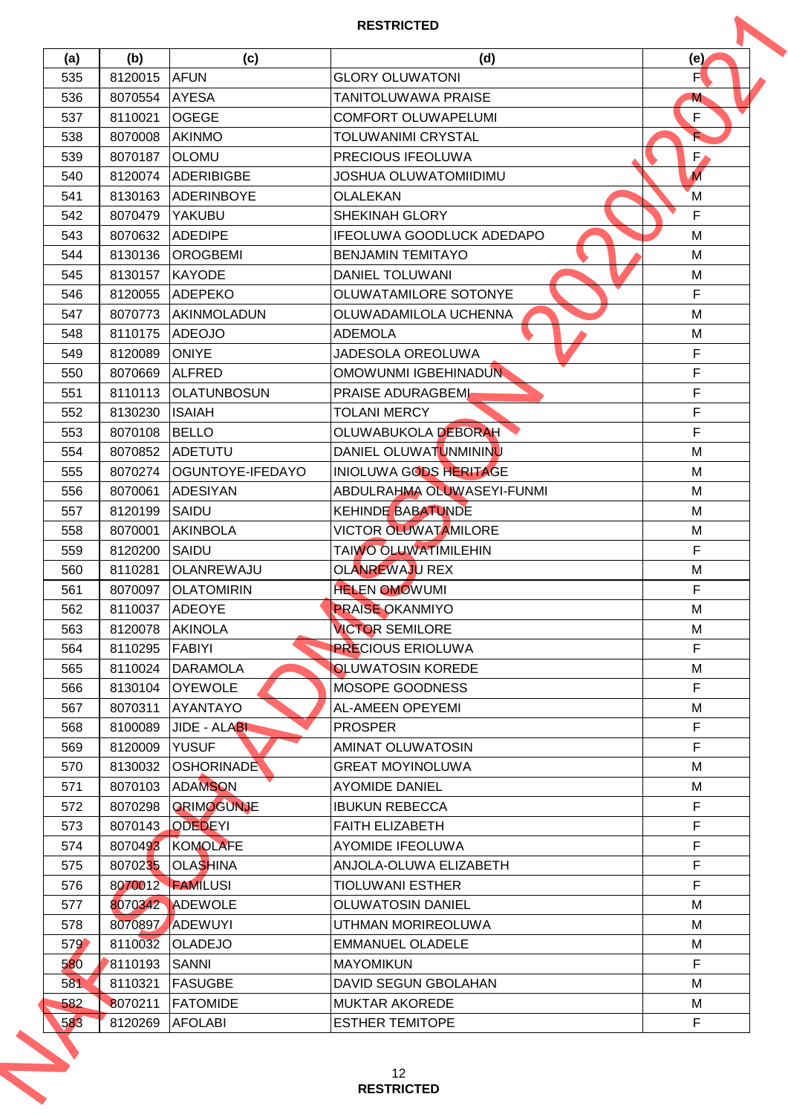| (a) | (b)                | (c)                               | (d)                                             | (e)              |
|-----|--------------------|-----------------------------------|-------------------------------------------------|------------------|
| 535 | 8120015            | <b>AFUN</b>                       | <b>GLORY OLUWATONI</b>                          | F                |
| 536 | 8070554            | <b>AYESA</b>                      | TANITOLUWAWA PRAISE                             | M                |
| 537 | 8110021            | <b>OGEGE</b>                      | <b>COMFORT OLUWAPELUMI</b>                      | F                |
| 538 | 8070008            | <b>AKINMO</b>                     | <b>TOLUWANIMI CRYSTAL</b>                       |                  |
| 539 | 8070187            | <b>OLOMU</b>                      | PRECIOUS IFEOLUWA                               | $F_{\ell}$       |
| 540 | 8120074            | <b>ADERIBIGBE</b>                 | JOSHUA OLUWATOMIIDIMU                           | $\overline{M}$   |
| 541 | 8130163            | ADERINBOYE                        | <b>OLALEKAN</b>                                 | M                |
| 542 | 8070479            | YAKUBU                            | SHEKINAH GLORY                                  | $\mathsf{F}$     |
| 543 | 8070632            | <b>ADEDIPE</b>                    | IFEOLUWA GOODLUCK ADEDAPO                       | M                |
| 544 | 8130136            | <b>OROGBEMI</b>                   | <b>BENJAMIN TEMITAYO</b>                        | M                |
| 545 | 8130157            | <b>KAYODE</b>                     | <b>DANIEL TOLUWANI</b>                          | M                |
| 546 | 8120055            | <b>ADEPEKO</b>                    | OLUWATAMILORE SOTONYE                           | F                |
| 547 | 8070773            | <b>AKINMOLADUN</b>                | OLUWADAMILOLA UCHENNA                           | M                |
| 548 | 8110175            | <b>ADEOJO</b>                     | <b>ADEMOLA</b>                                  | M                |
| 549 | 8120089            | <b>ONIYE</b>                      | JADESOLA OREOLUWA                               | F                |
| 550 | 8070669            | <b>ALFRED</b>                     | OMOWUNMI IGBEHINADUN                            | F                |
| 551 | 8110113            | <b>OLATUNBOSUN</b>                | PRAISE ADURAGBEML                               | F                |
| 552 | 8130230            | <b>ISAIAH</b>                     | <b>TOLANI MERCY</b>                             | F                |
| 553 | 8070108            | <b>BELLO</b>                      | <b>OLUWABUKOLA DEBORAH</b>                      | F                |
| 554 | 8070852            | <b>ADETUTU</b>                    | DANIEL OLUWATUNMININU                           | M                |
| 555 | 8070274            | OGUNTOYE-IFEDAYO                  | <b>INIOLUWA GODS HERITAGE</b>                   | M                |
| 556 | 8070061            | ADESIYAN                          | ABDULRAHMA OLUWASEYI-FUNMI                      | M                |
| 557 | 8120199            | SAIDU                             | <b>KEHINDE BABATUNDE</b>                        | M                |
| 558 | 8070001            | <b>AKINBOLA</b>                   | <b>VICTOR OLUWATAMILORE</b>                     | M                |
| 559 | 8120200            | SAIDU                             | <b>TAIWO OLUWATIMILEHIN</b>                     | $\mathsf F$      |
| 560 | 8110281            | <b>OLANREWAJU</b>                 | <b>OLANREWAJU REX</b>                           | M                |
| 561 | 8070097            | <b>OLATOMIRIN</b>                 | <b>HELEN OMOWUMI</b>                            | F                |
| 562 | 8110037 ADEOYE     |                                   | <b>PRAISE OKANMIYO</b>                          | M                |
| 563 | 8120078            | <b>AKINOLA</b>                    | <b>VICTOR SEMILORE</b>                          | М                |
| 564 | 8110295            | <b>FABIYI</b>                     | <b>PRECIOUS ERIOLUWA</b>                        | F                |
| 565 | 8110024            | <b>DARAMOLA</b>                   | <b>OLUWATOSIN KOREDE</b>                        | M                |
| 566 | 8130104            | <b>OYEWOLE</b>                    | MOSOPE GOODNESS                                 | F                |
| 567 | 8070311            | <b>AYANTAYO</b>                   | <b>AL-AMEEN OPEYEMI</b>                         | М                |
| 568 | 8100089            | JIDE - ALABI                      | <b>PROSPER</b>                                  | $\mathsf F$      |
| 569 | 8120009            | <b>YUSUF</b>                      | <b>AMINAT OLUWATOSIN</b>                        | F                |
| 570 | 8130032            | <b>OSHORINADE</b>                 | <b>GREAT MOYINOLUWA</b>                         | M                |
| 571 | 8070103            | <b>ADAMSON</b>                    | <b>AYOMIDE DANIEL</b>                           | M                |
| 572 | 8070298            | ORIMOGUNJE                        | <b>IBUKUN REBECCA</b>                           | $\mathsf F$      |
| 573 | 8070143            | <b>ODEDEYI</b>                    | <b>FAITH ELIZABETH</b>                          | F                |
| 574 | 8070493            | <b>KOMOLAFE</b>                   | <b>AYOMIDE IFEOLUWA</b>                         | $\mathsf F$      |
| 575 |                    | 8070235 OLASHINA                  | ANJOLA-OLUWA ELIZABETH                          | F                |
| 576 |                    | 8070012 <b>FAMILUSI</b>           | <b>TIOLUWANI ESTHER</b>                         | $\mathsf F$      |
| 577 |                    | 8070342 ADEWOLE                   | <b>OLUWATOSIN DANIEL</b>                        | M                |
| 578 | 8070897            | ADEWUYI                           | UTHMAN MORIREOLUWA                              | M                |
|     |                    |                                   |                                                 |                  |
| 579 | 8110032            | <b>OLADEJO</b>                    | <b>EMMANUEL OLADELE</b>                         | M                |
| 580 | 8110193            | SANNI                             | <b>MAYOMIKUN</b>                                | F                |
| 581 | 8110321            | <b>FASUGBE</b>                    | <b>DAVID SEGUN GBOLAHAN</b>                     | М                |
| 582 | 8070211<br>8120269 | <b>FATOMIDE</b><br><b>AFOLABI</b> | <b>MUKTAR AKOREDE</b><br><b>ESTHER TEMITOPE</b> | М<br>$\mathsf F$ |
| 583 |                    |                                   |                                                 |                  |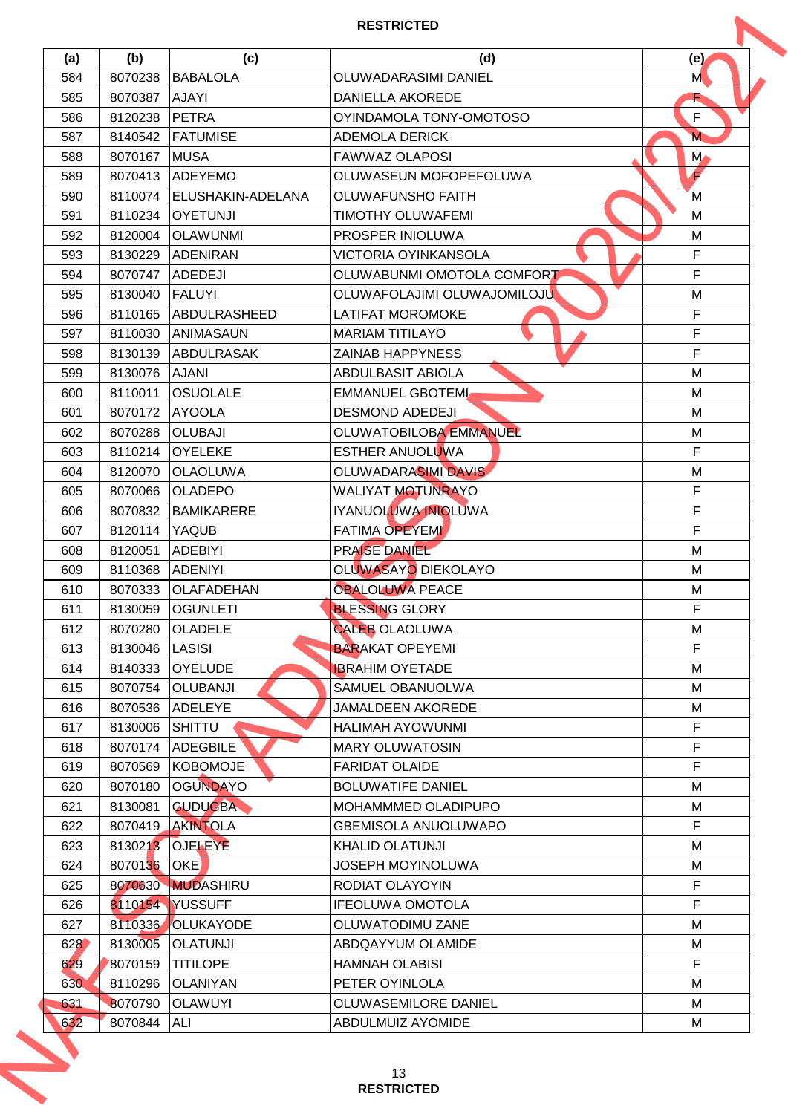| (a) |         |                          |                               |               |
|-----|---------|--------------------------|-------------------------------|---------------|
|     | (b)     | (c)                      | (d)                           | (e)           |
| 584 | 8070238 | <b>BABALOLA</b>          | OLUWADARASIMI DANIEL          | M             |
| 585 | 8070387 | <b>AJAYI</b>             | DANIELLA AKOREDE              |               |
| 586 | 8120238 | PETRA                    | OYINDAMOLA TONY-OMOTOSO       | F             |
| 587 | 8140542 | <b>FATUMISE</b>          | <b>ADEMOLA DERICK</b>         | M             |
| 588 | 8070167 | <b>MUSA</b>              | <b>FAWWAZ OLAPOSI</b>         | $M_{\bullet}$ |
| 589 | 8070413 | <b>ADEYEMO</b>           | OLUWASEUN MOFOPEFOLUWA        | F             |
| 590 | 8110074 | <b>ELUSHAKIN-ADELANA</b> | <b>OLUWAFUNSHO FAITH</b>      | M             |
| 591 | 8110234 | <b>OYETUNJI</b>          | <b>TIMOTHY OLUWAFEMI</b>      | М             |
| 592 | 8120004 | <b>OLAWUNMI</b>          | PROSPER INIOLUWA              | M             |
| 593 | 8130229 | <b>ADENIRAN</b>          | <b>VICTORIA OYINKANSOLA</b>   | $\mathsf F$   |
| 594 | 8070747 | <b>ADEDEJI</b>           | OLUWABUNMI OMOTOLA COMFORT    | $\mathsf F$   |
| 595 | 8130040 | <b>FALUYI</b>            | OLUWAFOLAJIMI OLUWAJOMILOJU   | M             |
| 596 | 8110165 | <b>ABDULRASHEED</b>      | <b>LATIFAT MOROMOKE</b>       | F             |
| 597 | 8110030 | <b>ANIMASAUN</b>         | <b>MARIAM TITILAYO</b>        | $\mathsf F$   |
| 598 | 8130139 | <b>ABDULRASAK</b>        | <b>ZAINAB HAPPYNESS</b>       | $\mathsf F$   |
| 599 | 8130076 | <b>AJANI</b>             | <b>ABDULBASIT ABIOLA</b>      | M             |
| 600 | 8110011 | <b>OSUOLALE</b>          | <b>EMMANUEL GBOTEML</b>       | M             |
| 601 | 8070172 | <b>AYOOLA</b>            | <b>DESMOND ADEDEJI</b>        | M             |
| 602 | 8070288 | <b>OLUBAJI</b>           | <b>OLUWATOBILOBA EMMANUEL</b> | M             |
| 603 | 8110214 | <b>OYELEKE</b>           | ESTHER ANUOLUWA               | $\mathsf{F}$  |
| 604 | 8120070 | <b>OLAOLUWA</b>          | OLUWADARASIMI DAVIS           | M             |
| 605 | 8070066 | <b>OLADEPO</b>           | WALIYAT MOTUNRAYO             | $\mathsf F$   |
| 606 | 8070832 | BAMIKARERE               | IYANUOLUWA INIOLUWA           | $\mathsf F$   |
| 607 | 8120114 | <b>YAQUB</b>             | <b>FATIMA OPEYEMI</b>         | F             |
| 608 | 8120051 | <b>ADEBIYI</b>           | PRAISE DANIEL                 | M             |
| 609 | 8110368 | <b>ADENIYI</b>           | OLUWASAYO DIEKOLAYO           | M             |
| 610 | 8070333 | <b>OLAFADEHAN</b>        | <b>OBALOLUWA PEACE</b>        | M             |
| 611 |         | 8130059 OGUNLETI         | <b>BLESSING GLORY</b>         | $\mathsf F$   |
| 612 | 8070280 | <b>OLADELE</b>           | <b>CALEB OLAOLUWA</b>         | М             |
| 613 | 8130046 | <b>LASISI</b>            | <b>BARAKAT OPEYEMI</b>        | F             |
| 614 | 8140333 | <b>OYELUDE</b>           | <b>IBRAHIM OYETADE</b>        | м             |
| 615 | 8070754 | <b>OLUBANJI</b>          | SAMUEL OBANUOLWA              | м             |
| 616 | 8070536 | <b>ADELEYE</b>           | <b>JAMALDEEN AKOREDE</b>      | M             |
| 617 | 8130006 | <b>SHITTU</b>            | HALIMAH AYOWUNMI              | $\mathsf F$   |
| 618 | 8070174 | <b>ADEGBILE</b>          | <b>MARY OLUWATOSIN</b>        | F             |
| 619 | 8070569 | KOBOMOJE                 | <b>FARIDAT OLAIDE</b>         | $\mathsf F$   |
| 620 | 8070180 | <b>OGUNDAYO</b>          | <b>BOLUWATIFE DANIEL</b>      | м             |
| 621 | 8130081 | <b>GUDUGBA</b>           | MOHAMMMED OLADIPUPO           | M             |
| 622 |         | 8070419 AKINTOLA         | <b>GBEMISOLA ANUOLUWAPO</b>   | $\mathsf{F}$  |
| 623 | 8130213 | <b>OJELEYE</b>           | <b>KHALID OLATUNJI</b>        | м             |
| 624 | 8070136 | <b>OKE</b>               | <b>JOSEPH MOYINOLUWA</b>      | M             |
| 625 |         | 8070630 MUDASHIRU        | RODIAT OLAYOYIN               | $\mathsf F$   |
| 626 |         | 8110154 YUSSUFF          | <b>IFEOLUWA OMOTOLA</b>       | F             |
| 627 | 8110336 | OLUKAYODE                | OLUWATODIMU ZANE              | М             |
| 628 | 8130005 | <b>OLATUNJI</b>          | ABDQAYYUM OLAMIDE             | М             |
| 629 | 8070159 | <b>TITILOPE</b>          | <b>HAMNAH OLABISI</b>         | F             |
| 630 | 8110296 | <b>OLANIYAN</b>          | PETER OYINLOLA                | М             |
| 631 | 8070790 | <b>OLAWUYI</b>           | OLUWASEMILORE DANIEL          | м             |
|     | 8070844 | ALI                      | ABDULMUIZ AYOMIDE             | м             |